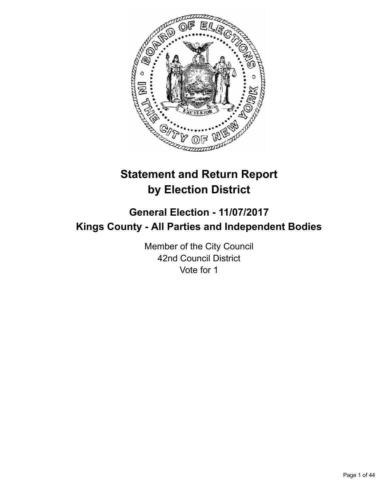

# **Statement and Return Report by Election District**

## **General Election - 11/07/2017 Kings County - All Parties and Independent Bodies**

Member of the City Council 42nd Council District Vote for 1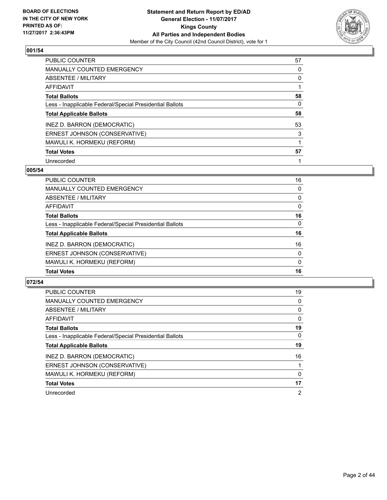

| PUBLIC COUNTER                                           | 57 |
|----------------------------------------------------------|----|
| <b>MANUALLY COUNTED EMERGENCY</b>                        | 0  |
| ABSENTEE / MILITARY                                      | 0  |
| AFFIDAVIT                                                |    |
| <b>Total Ballots</b>                                     | 58 |
| Less - Inapplicable Federal/Special Presidential Ballots | 0  |
| <b>Total Applicable Ballots</b>                          | 58 |
| INEZ D. BARRON (DEMOCRATIC)                              | 53 |
| ERNEST JOHNSON (CONSERVATIVE)                            | 3  |
| MAWULI K. HORMEKU (REFORM)                               |    |
| <b>Total Votes</b>                                       | 57 |
| Unrecorded                                               |    |

#### **005/54**

| PUBLIC COUNTER                                           | 16       |
|----------------------------------------------------------|----------|
| <b>MANUALLY COUNTED EMERGENCY</b>                        | 0        |
| ABSENTEE / MILITARY                                      | 0        |
| AFFIDAVIT                                                | $\Omega$ |
| <b>Total Ballots</b>                                     | 16       |
| Less - Inapplicable Federal/Special Presidential Ballots | $\Omega$ |
| <b>Total Applicable Ballots</b>                          | 16       |
| INEZ D. BARRON (DEMOCRATIC)                              | 16       |
| ERNEST JOHNSON (CONSERVATIVE)                            | $\Omega$ |
| MAWULI K. HORMEKU (REFORM)                               | 0        |
| <b>Total Votes</b>                                       | 16       |

| <b>PUBLIC COUNTER</b>                                    | 19       |
|----------------------------------------------------------|----------|
| MANUALLY COUNTED EMERGENCY                               | 0        |
| ABSENTEE / MILITARY                                      | 0        |
| AFFIDAVIT                                                | $\Omega$ |
| <b>Total Ballots</b>                                     | 19       |
| Less - Inapplicable Federal/Special Presidential Ballots | 0        |
| <b>Total Applicable Ballots</b>                          | 19       |
| INEZ D. BARRON (DEMOCRATIC)                              | 16       |
| ERNEST JOHNSON (CONSERVATIVE)                            |          |
| MAWULI K. HORMEKU (REFORM)                               | 0        |
| <b>Total Votes</b>                                       | 17       |
| Unrecorded                                               | 2        |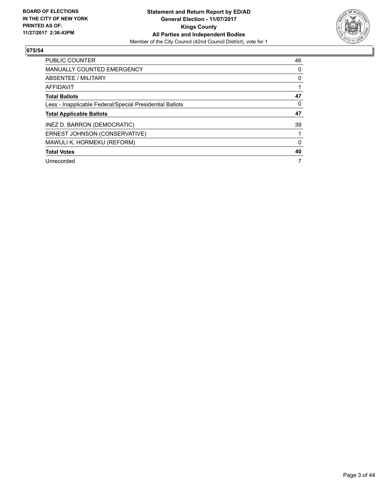

| <b>PUBLIC COUNTER</b>                                    | 46 |
|----------------------------------------------------------|----|
| <b>MANUALLY COUNTED EMERGENCY</b>                        | 0  |
| ABSENTEE / MILITARY                                      | 0  |
| <b>AFFIDAVIT</b>                                         |    |
| <b>Total Ballots</b>                                     | 47 |
| Less - Inapplicable Federal/Special Presidential Ballots | 0  |
|                                                          |    |
| <b>Total Applicable Ballots</b>                          | 47 |
| INEZ D. BARRON (DEMOCRATIC)                              | 39 |
| ERNEST JOHNSON (CONSERVATIVE)                            |    |
| MAWULI K. HORMEKU (REFORM)                               | 0  |
| <b>Total Votes</b>                                       | 40 |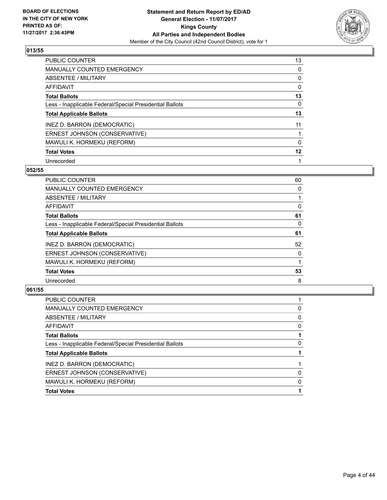

| PUBLIC COUNTER                                           | 13 |
|----------------------------------------------------------|----|
| <b>MANUALLY COUNTED EMERGENCY</b>                        | 0  |
| ABSENTEE / MILITARY                                      | 0  |
| AFFIDAVIT                                                | 0  |
| <b>Total Ballots</b>                                     | 13 |
| Less - Inapplicable Federal/Special Presidential Ballots | 0  |
| <b>Total Applicable Ballots</b>                          | 13 |
| INEZ D. BARRON (DEMOCRATIC)                              | 11 |
| ERNEST JOHNSON (CONSERVATIVE)                            |    |
| MAWULI K. HORMEKU (REFORM)                               | 0  |
| <b>Total Votes</b>                                       | 12 |
| Unrecorded                                               |    |

#### **052/55**

| <b>PUBLIC COUNTER</b>                                    | 60       |
|----------------------------------------------------------|----------|
| <b>MANUALLY COUNTED EMERGENCY</b>                        | 0        |
| ABSENTEE / MILITARY                                      |          |
| AFFIDAVIT                                                | 0        |
| <b>Total Ballots</b>                                     | 61       |
| Less - Inapplicable Federal/Special Presidential Ballots | 0        |
| <b>Total Applicable Ballots</b>                          | 61       |
| INEZ D. BARRON (DEMOCRATIC)                              | 52       |
| ERNEST JOHNSON (CONSERVATIVE)                            | $\Omega$ |
| MAWULI K. HORMEKU (REFORM)                               |          |
| <b>Total Votes</b>                                       | 53       |
| Unrecorded                                               | 8        |

| 0<br>0<br>0<br>0<br>$\Omega$<br>0 | <b>PUBLIC COUNTER</b>                                    |  |
|-----------------------------------|----------------------------------------------------------|--|
|                                   | <b>MANUALLY COUNTED EMERGENCY</b>                        |  |
|                                   | <b>ABSENTEE / MILITARY</b>                               |  |
|                                   | AFFIDAVIT                                                |  |
|                                   | <b>Total Ballots</b>                                     |  |
|                                   | Less - Inapplicable Federal/Special Presidential Ballots |  |
|                                   | <b>Total Applicable Ballots</b>                          |  |
|                                   | INEZ D. BARRON (DEMOCRATIC)                              |  |
|                                   | ERNEST JOHNSON (CONSERVATIVE)                            |  |
|                                   | MAWULI K. HORMEKU (REFORM)                               |  |
|                                   | <b>Total Votes</b>                                       |  |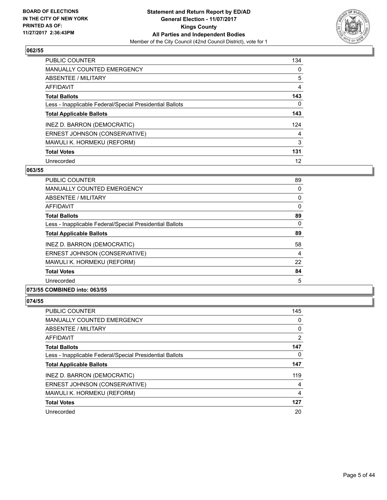

| <b>PUBLIC COUNTER</b>                                    | 134 |
|----------------------------------------------------------|-----|
| MANUALLY COUNTED EMERGENCY                               | 0   |
| ABSENTEE / MILITARY                                      | 5   |
| <b>AFFIDAVIT</b>                                         | 4   |
| <b>Total Ballots</b>                                     | 143 |
| Less - Inapplicable Federal/Special Presidential Ballots | 0   |
| <b>Total Applicable Ballots</b>                          | 143 |
| INEZ D. BARRON (DEMOCRATIC)                              | 124 |
| ERNEST JOHNSON (CONSERVATIVE)                            | 4   |
| MAWULI K. HORMEKU (REFORM)                               | 3   |
| <b>Total Votes</b>                                       | 131 |
| Unrecorded                                               | 12  |

#### **063/55**

| <b>PUBLIC COUNTER</b>                                    | 89       |
|----------------------------------------------------------|----------|
| <b>MANUALLY COUNTED EMERGENCY</b>                        | 0        |
| <b>ABSENTEE / MILITARY</b>                               | 0        |
| AFFIDAVIT                                                | $\Omega$ |
| <b>Total Ballots</b>                                     | 89       |
| Less - Inapplicable Federal/Special Presidential Ballots | 0        |
| <b>Total Applicable Ballots</b>                          | 89       |
| INEZ D. BARRON (DEMOCRATIC)                              | 58       |
| ERNEST JOHNSON (CONSERVATIVE)                            | 4        |
| MAWULI K. HORMEKU (REFORM)                               | 22       |
| <b>Total Votes</b>                                       | 84       |
| Unrecorded                                               | 5        |
|                                                          |          |

## **073/55 COMBINED into: 063/55**

| <b>PUBLIC COUNTER</b>                                    | 145 |
|----------------------------------------------------------|-----|
| MANUALLY COUNTED EMERGENCY                               | 0   |
| ABSENTEE / MILITARY                                      | 0   |
| AFFIDAVIT                                                | 2   |
| <b>Total Ballots</b>                                     | 147 |
| Less - Inapplicable Federal/Special Presidential Ballots | 0   |
| <b>Total Applicable Ballots</b>                          | 147 |
| INEZ D. BARRON (DEMOCRATIC)                              | 119 |
| ERNEST JOHNSON (CONSERVATIVE)                            | 4   |
| MAWULI K. HORMEKU (REFORM)                               | 4   |
| <b>Total Votes</b>                                       | 127 |
| Unrecorded                                               | 20  |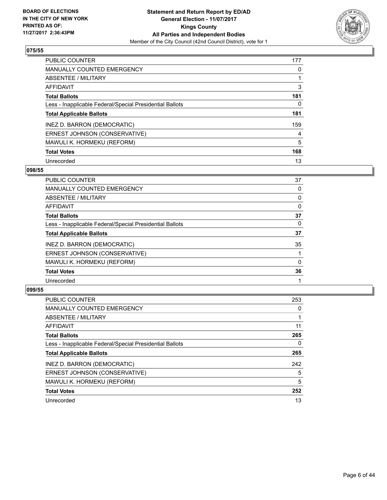

| <b>PUBLIC COUNTER</b>                                    | 177 |
|----------------------------------------------------------|-----|
| MANUALLY COUNTED EMERGENCY                               | 0   |
| ABSENTEE / MILITARY                                      |     |
| <b>AFFIDAVIT</b>                                         | 3   |
| <b>Total Ballots</b>                                     | 181 |
| Less - Inapplicable Federal/Special Presidential Ballots | 0   |
| <b>Total Applicable Ballots</b>                          | 181 |
| INEZ D. BARRON (DEMOCRATIC)                              | 159 |
| ERNEST JOHNSON (CONSERVATIVE)                            | 4   |
| MAWULI K. HORMEKU (REFORM)                               | 5   |
| <b>Total Votes</b>                                       | 168 |
| Unrecorded                                               | 13  |

#### **098/55**

| <b>PUBLIC COUNTER</b>                                    | 37       |
|----------------------------------------------------------|----------|
| MANUALLY COUNTED EMERGENCY                               | 0        |
| ABSENTEE / MILITARY                                      | 0        |
| <b>AFFIDAVIT</b>                                         | 0        |
| <b>Total Ballots</b>                                     | 37       |
| Less - Inapplicable Federal/Special Presidential Ballots | 0        |
| <b>Total Applicable Ballots</b>                          | 37       |
| INEZ D. BARRON (DEMOCRATIC)                              | 35       |
| ERNEST JOHNSON (CONSERVATIVE)                            |          |
| MAWULI K. HORMEKU (REFORM)                               | $\Omega$ |
| <b>Total Votes</b>                                       | 36       |
| Unrecorded                                               |          |

| <b>PUBLIC COUNTER</b>                                    | 253 |
|----------------------------------------------------------|-----|
| MANUALLY COUNTED EMERGENCY                               | 0   |
| ABSENTEE / MILITARY                                      |     |
| <b>AFFIDAVIT</b>                                         | 11  |
| <b>Total Ballots</b>                                     | 265 |
| Less - Inapplicable Federal/Special Presidential Ballots | 0   |
| <b>Total Applicable Ballots</b>                          | 265 |
| INEZ D. BARRON (DEMOCRATIC)                              | 242 |
| ERNEST JOHNSON (CONSERVATIVE)                            | 5   |
| MAWULI K. HORMEKU (REFORM)                               | 5   |
| <b>Total Votes</b>                                       | 252 |
| Unrecorded                                               | 13  |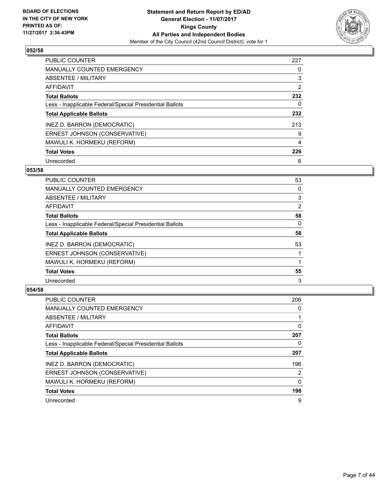

| <b>PUBLIC COUNTER</b>                                    | 227 |
|----------------------------------------------------------|-----|
| MANUALLY COUNTED EMERGENCY                               | 0   |
| ABSENTEE / MILITARY                                      | 3   |
| <b>AFFIDAVIT</b>                                         | 2   |
| <b>Total Ballots</b>                                     | 232 |
| Less - Inapplicable Federal/Special Presidential Ballots | 0   |
| <b>Total Applicable Ballots</b>                          | 232 |
| INEZ D. BARRON (DEMOCRATIC)                              | 213 |
| ERNEST JOHNSON (CONSERVATIVE)                            | 9   |
| MAWULI K. HORMEKU (REFORM)                               | 4   |
| <b>Total Votes</b>                                       | 226 |
| Unrecorded                                               | 6   |

#### **053/58**

| <b>PUBLIC COUNTER</b>                                    | 53       |
|----------------------------------------------------------|----------|
| <b>MANUALLY COUNTED EMERGENCY</b>                        | 0        |
| ABSENTEE / MILITARY                                      | 3        |
| <b>AFFIDAVIT</b>                                         | 2        |
| <b>Total Ballots</b>                                     | 58       |
| Less - Inapplicable Federal/Special Presidential Ballots | $\Omega$ |
| <b>Total Applicable Ballots</b>                          | 58       |
| INEZ D. BARRON (DEMOCRATIC)                              | 53       |
| ERNEST JOHNSON (CONSERVATIVE)                            |          |
| MAWULI K. HORMEKU (REFORM)                               |          |
| <b>Total Votes</b>                                       | 55       |
| Unrecorded                                               | 3        |

| <b>PUBLIC COUNTER</b>                                    | 206 |
|----------------------------------------------------------|-----|
| <b>MANUALLY COUNTED EMERGENCY</b>                        | 0   |
| ABSENTEE / MILITARY                                      |     |
| AFFIDAVIT                                                | 0   |
| <b>Total Ballots</b>                                     | 207 |
| Less - Inapplicable Federal/Special Presidential Ballots | 0   |
| <b>Total Applicable Ballots</b>                          | 207 |
| INEZ D. BARRON (DEMOCRATIC)                              | 196 |
| ERNEST JOHNSON (CONSERVATIVE)                            | 2   |
| MAWULI K. HORMEKU (REFORM)                               | 0   |
| <b>Total Votes</b>                                       | 198 |
| Unrecorded                                               | 9   |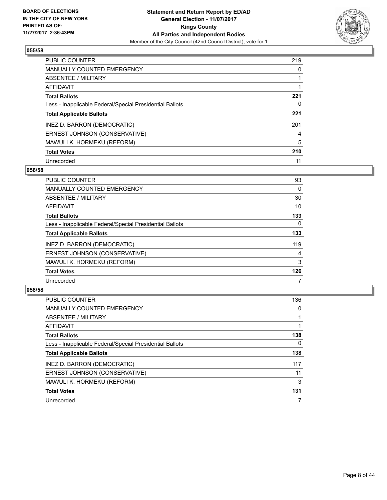

| <b>PUBLIC COUNTER</b>                                    | 219 |
|----------------------------------------------------------|-----|
| MANUALLY COUNTED EMERGENCY                               | 0   |
| ABSENTEE / MILITARY                                      |     |
| <b>AFFIDAVIT</b>                                         |     |
| <b>Total Ballots</b>                                     | 221 |
| Less - Inapplicable Federal/Special Presidential Ballots | 0   |
| <b>Total Applicable Ballots</b>                          | 221 |
| INEZ D. BARRON (DEMOCRATIC)                              | 201 |
| ERNEST JOHNSON (CONSERVATIVE)                            | 4   |
| MAWULI K. HORMEKU (REFORM)                               | 5   |
| <b>Total Votes</b>                                       | 210 |
| Unrecorded                                               | 11  |

#### **056/58**

| PUBLIC COUNTER                                           | 93       |
|----------------------------------------------------------|----------|
| <b>MANUALLY COUNTED EMERGENCY</b>                        | 0        |
| ABSENTEE / MILITARY                                      | 30       |
| <b>AFFIDAVIT</b>                                         | 10       |
| <b>Total Ballots</b>                                     | 133      |
| Less - Inapplicable Federal/Special Presidential Ballots | $\Omega$ |
| <b>Total Applicable Ballots</b>                          | 133      |
| INEZ D. BARRON (DEMOCRATIC)                              | 119      |
| ERNEST JOHNSON (CONSERVATIVE)                            | 4        |
| MAWULI K. HORMEKU (REFORM)                               | 3        |
| <b>Total Votes</b>                                       | 126      |
| Unrecorded                                               |          |

| <b>PUBLIC COUNTER</b>                                    | 136 |
|----------------------------------------------------------|-----|
| <b>MANUALLY COUNTED EMERGENCY</b>                        | 0   |
| ABSENTEE / MILITARY                                      |     |
| AFFIDAVIT                                                |     |
| <b>Total Ballots</b>                                     | 138 |
| Less - Inapplicable Federal/Special Presidential Ballots | 0   |
| <b>Total Applicable Ballots</b>                          | 138 |
| INEZ D. BARRON (DEMOCRATIC)                              | 117 |
| ERNEST JOHNSON (CONSERVATIVE)                            | 11  |
| MAWULI K. HORMEKU (REFORM)                               | 3   |
| <b>Total Votes</b>                                       | 131 |
| Unrecorded                                               | 7   |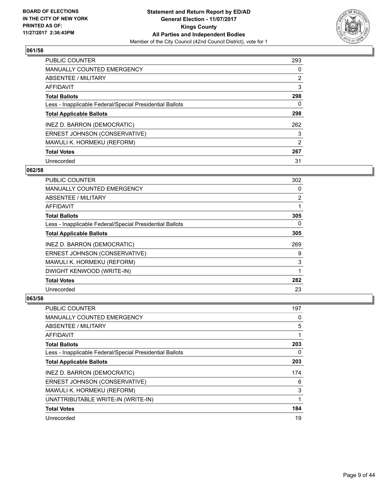

| <b>PUBLIC COUNTER</b>                                    | 293            |
|----------------------------------------------------------|----------------|
| <b>MANUALLY COUNTED EMERGENCY</b>                        | 0              |
| ABSENTEE / MILITARY                                      | $\overline{2}$ |
| AFFIDAVIT                                                | 3              |
| <b>Total Ballots</b>                                     | 298            |
| Less - Inapplicable Federal/Special Presidential Ballots | 0              |
| <b>Total Applicable Ballots</b>                          | 298            |
| INEZ D. BARRON (DEMOCRATIC)                              | 262            |
| ERNEST JOHNSON (CONSERVATIVE)                            | 3              |
| MAWULI K. HORMEKU (REFORM)                               | 2              |
| <b>Total Votes</b>                                       | 267            |
| Unrecorded                                               | 31             |

#### **062/58**

| <b>PUBLIC COUNTER</b>                                    | 302            |
|----------------------------------------------------------|----------------|
| <b>MANUALLY COUNTED EMERGENCY</b>                        | 0              |
| ABSENTEE / MILITARY                                      | $\overline{2}$ |
| <b>AFFIDAVIT</b>                                         |                |
| <b>Total Ballots</b>                                     | 305            |
| Less - Inapplicable Federal/Special Presidential Ballots | 0              |
| <b>Total Applicable Ballots</b>                          | 305            |
| INEZ D. BARRON (DEMOCRATIC)                              | 269            |
| ERNEST JOHNSON (CONSERVATIVE)                            | 9              |
| MAWULI K. HORMEKU (REFORM)                               | 3              |
| DWIGHT KENWOOD (WRITE-IN)                                |                |
| <b>Total Votes</b>                                       | 282            |
| Unrecorded                                               | 23             |

| PUBLIC COUNTER                                           | 197 |
|----------------------------------------------------------|-----|
| MANUALLY COUNTED EMERGENCY                               | 0   |
| ABSENTEE / MILITARY                                      | 5   |
| AFFIDAVIT                                                | 1   |
| <b>Total Ballots</b>                                     | 203 |
| Less - Inapplicable Federal/Special Presidential Ballots | 0   |
| <b>Total Applicable Ballots</b>                          | 203 |
| INEZ D. BARRON (DEMOCRATIC)                              | 174 |
| ERNEST JOHNSON (CONSERVATIVE)                            | 6   |
| MAWULI K. HORMEKU (REFORM)                               | 3   |
| UNATTRIBUTABLE WRITE-IN (WRITE-IN)                       |     |
| <b>Total Votes</b>                                       | 184 |
| Unrecorded                                               | 19  |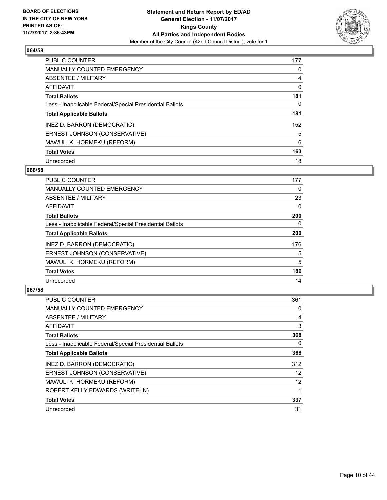

| <b>PUBLIC COUNTER</b>                                    | 177 |
|----------------------------------------------------------|-----|
| MANUALLY COUNTED EMERGENCY                               | 0   |
| ABSENTEE / MILITARY                                      | 4   |
| <b>AFFIDAVIT</b>                                         | 0   |
| <b>Total Ballots</b>                                     | 181 |
| Less - Inapplicable Federal/Special Presidential Ballots | 0   |
| <b>Total Applicable Ballots</b>                          | 181 |
| INEZ D. BARRON (DEMOCRATIC)                              | 152 |
| ERNEST JOHNSON (CONSERVATIVE)                            | 5   |
| MAWULI K. HORMEKU (REFORM)                               | 6   |
| <b>Total Votes</b>                                       | 163 |
| Unrecorded                                               | 18  |

#### **066/58**

| <b>PUBLIC COUNTER</b>                                    | 177      |
|----------------------------------------------------------|----------|
| <b>MANUALLY COUNTED EMERGENCY</b>                        | 0        |
| ABSENTEE / MILITARY                                      | 23       |
| <b>AFFIDAVIT</b>                                         | 0        |
| <b>Total Ballots</b>                                     | 200      |
| Less - Inapplicable Federal/Special Presidential Ballots | $\Omega$ |
| <b>Total Applicable Ballots</b>                          | 200      |
| INEZ D. BARRON (DEMOCRATIC)                              | 176      |
| ERNEST JOHNSON (CONSERVATIVE)                            | 5        |
| MAWULI K. HORMEKU (REFORM)                               | 5        |
| <b>Total Votes</b>                                       | 186      |
| Unrecorded                                               | 14       |

| <b>PUBLIC COUNTER</b>                                    | 361 |
|----------------------------------------------------------|-----|
| <b>MANUALLY COUNTED EMERGENCY</b>                        | 0   |
| ABSENTEE / MILITARY                                      | 4   |
| AFFIDAVIT                                                | 3   |
| <b>Total Ballots</b>                                     | 368 |
| Less - Inapplicable Federal/Special Presidential Ballots | 0   |
| <b>Total Applicable Ballots</b>                          | 368 |
| INEZ D. BARRON (DEMOCRATIC)                              | 312 |
| ERNEST JOHNSON (CONSERVATIVE)                            | 12  |
| MAWULI K. HORMEKU (REFORM)                               | 12  |
| ROBERT KELLY EDWARDS (WRITE-IN)                          |     |
| <b>Total Votes</b>                                       | 337 |
| Unrecorded                                               | 31  |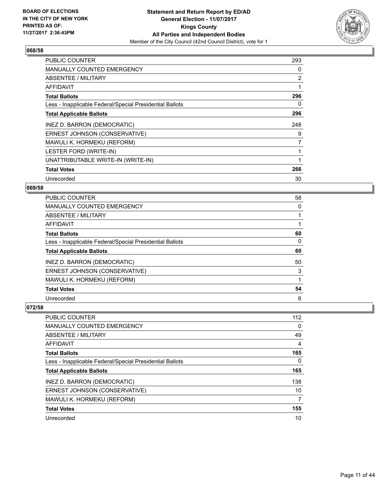

| <b>PUBLIC COUNTER</b>                                    | 293            |
|----------------------------------------------------------|----------------|
| <b>MANUALLY COUNTED EMERGENCY</b>                        | 0              |
| ABSENTEE / MILITARY                                      | 2              |
| AFFIDAVIT                                                |                |
| <b>Total Ballots</b>                                     | 296            |
| Less - Inapplicable Federal/Special Presidential Ballots | 0              |
| <b>Total Applicable Ballots</b>                          | 296            |
| INEZ D. BARRON (DEMOCRATIC)                              | 248            |
| ERNEST JOHNSON (CONSERVATIVE)                            | 9              |
| MAWULI K. HORMEKU (REFORM)                               | $\overline{7}$ |
| LESTER FORD (WRITE-IN)                                   |                |
| UNATTRIBUTABLE WRITE-IN (WRITE-IN)                       |                |
| <b>Total Votes</b>                                       | 266            |
| Unrecorded                                               | 30             |

## **069/58**

| PUBLIC COUNTER                                           | 58 |
|----------------------------------------------------------|----|
| <b>MANUALLY COUNTED EMERGENCY</b>                        | 0  |
| ABSENTEE / MILITARY                                      |    |
| AFFIDAVIT                                                |    |
| <b>Total Ballots</b>                                     | 60 |
| Less - Inapplicable Federal/Special Presidential Ballots | 0  |
| <b>Total Applicable Ballots</b>                          | 60 |
| INEZ D. BARRON (DEMOCRATIC)                              | 50 |
| ERNEST JOHNSON (CONSERVATIVE)                            | 3  |
| MAWULI K. HORMEKU (REFORM)                               |    |
| <b>Total Votes</b>                                       | 54 |
| Unrecorded                                               | 6  |

| <b>PUBLIC COUNTER</b>                                    | 112 |
|----------------------------------------------------------|-----|
| <b>MANUALLY COUNTED EMERGENCY</b>                        | 0   |
| ABSENTEE / MILITARY                                      | 49  |
| AFFIDAVIT                                                | 4   |
| <b>Total Ballots</b>                                     | 165 |
| Less - Inapplicable Federal/Special Presidential Ballots | 0   |
| <b>Total Applicable Ballots</b>                          | 165 |
|                                                          |     |
| INEZ D. BARRON (DEMOCRATIC)                              | 138 |
| ERNEST JOHNSON (CONSERVATIVE)                            | 10  |
| MAWULI K. HORMEKU (REFORM)                               | 7   |
| <b>Total Votes</b>                                       | 155 |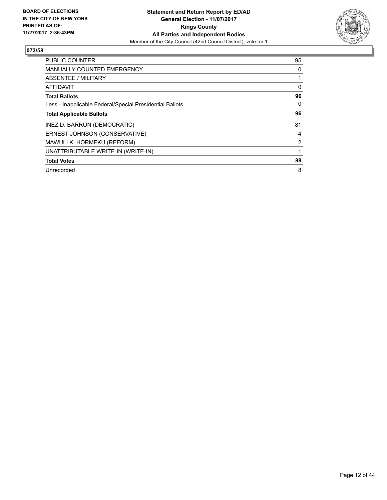

| <b>PUBLIC COUNTER</b>                                    | 95             |
|----------------------------------------------------------|----------------|
| <b>MANUALLY COUNTED EMERGENCY</b>                        | 0              |
| ABSENTEE / MILITARY                                      |                |
| AFFIDAVIT                                                | 0              |
| <b>Total Ballots</b>                                     | 96             |
| Less - Inapplicable Federal/Special Presidential Ballots | 0              |
| <b>Total Applicable Ballots</b>                          | 96             |
| INEZ D. BARRON (DEMOCRATIC)                              | 81             |
| ERNEST JOHNSON (CONSERVATIVE)                            | 4              |
| MAWULI K. HORMEKU (REFORM)                               | $\overline{2}$ |
| UNATTRIBUTABLE WRITE-IN (WRITE-IN)                       |                |
| <b>Total Votes</b>                                       | 88             |
| Unrecorded                                               | 8              |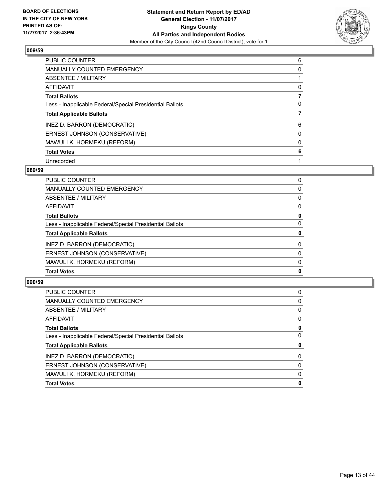

| <b>PUBLIC COUNTER</b>                                    | 6 |
|----------------------------------------------------------|---|
| <b>MANUALLY COUNTED EMERGENCY</b>                        | 0 |
| ABSENTEE / MILITARY                                      |   |
| <b>AFFIDAVIT</b>                                         | 0 |
| <b>Total Ballots</b>                                     |   |
| Less - Inapplicable Federal/Special Presidential Ballots | 0 |
| <b>Total Applicable Ballots</b>                          |   |
| INEZ D. BARRON (DEMOCRATIC)                              | 6 |
| ERNEST JOHNSON (CONSERVATIVE)                            | 0 |
| MAWULI K. HORMEKU (REFORM)                               | 0 |
| <b>Total Votes</b>                                       | 6 |
| Unrecorded                                               |   |

#### **089/59**

| <b>Total Votes</b>                                       | 0        |
|----------------------------------------------------------|----------|
| MAWULI K. HORMEKU (REFORM)                               | 0        |
| ERNEST JOHNSON (CONSERVATIVE)                            | 0        |
| INEZ D. BARRON (DEMOCRATIC)                              | $\Omega$ |
| <b>Total Applicable Ballots</b>                          | 0        |
| Less - Inapplicable Federal/Special Presidential Ballots | 0        |
| <b>Total Ballots</b>                                     | 0        |
| <b>AFFIDAVIT</b>                                         | 0        |
| <b>ABSENTEE / MILITARY</b>                               | 0        |
| <b>MANUALLY COUNTED EMERGENCY</b>                        | 0        |
| <b>PUBLIC COUNTER</b>                                    | 0        |

| <b>Total Votes</b>                                       | 0 |
|----------------------------------------------------------|---|
| MAWULI K. HORMEKU (REFORM)                               | 0 |
| ERNEST JOHNSON (CONSERVATIVE)                            | 0 |
| INEZ D. BARRON (DEMOCRATIC)                              | 0 |
| <b>Total Applicable Ballots</b>                          | 0 |
| Less - Inapplicable Federal/Special Presidential Ballots | 0 |
| <b>Total Ballots</b>                                     | 0 |
| AFFIDAVIT                                                | 0 |
| ABSENTEE / MILITARY                                      | 0 |
| <b>MANUALLY COUNTED EMERGENCY</b>                        | 0 |
| PUBLIC COUNTER                                           | 0 |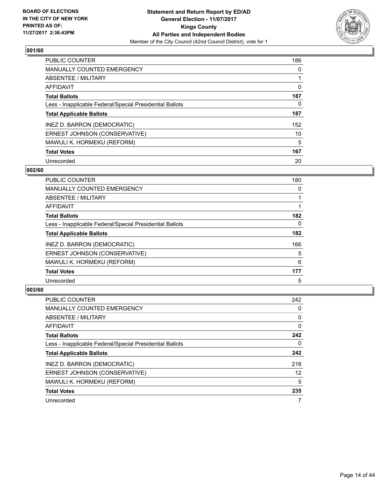

| <b>PUBLIC COUNTER</b>                                    | 186 |
|----------------------------------------------------------|-----|
| <b>MANUALLY COUNTED EMERGENCY</b>                        | 0   |
| <b>ABSENTEE / MILITARY</b>                               |     |
| <b>AFFIDAVIT</b>                                         | 0   |
| <b>Total Ballots</b>                                     | 187 |
| Less - Inapplicable Federal/Special Presidential Ballots | 0   |
| <b>Total Applicable Ballots</b>                          | 187 |
| INEZ D. BARRON (DEMOCRATIC)                              | 152 |
| ERNEST JOHNSON (CONSERVATIVE)                            | 10  |
| MAWULI K. HORMEKU (REFORM)                               | 5   |
| <b>Total Votes</b>                                       | 167 |
| Unrecorded                                               | 20  |

#### **002/60**

| <b>PUBLIC COUNTER</b>                                    | 180      |
|----------------------------------------------------------|----------|
| MANUALLY COUNTED EMERGENCY                               | 0        |
| ABSENTEE / MILITARY                                      |          |
| <b>AFFIDAVIT</b>                                         |          |
| <b>Total Ballots</b>                                     | 182      |
| Less - Inapplicable Federal/Special Presidential Ballots | $\Omega$ |
| <b>Total Applicable Ballots</b>                          | 182      |
| INEZ D. BARRON (DEMOCRATIC)                              | 166      |
| ERNEST JOHNSON (CONSERVATIVE)                            | 5        |
| MAWULI K. HORMEKU (REFORM)                               | 6        |
| <b>Total Votes</b>                                       | 177      |
| Unrecorded                                               | 5        |

| <b>PUBLIC COUNTER</b>                                    | 242 |
|----------------------------------------------------------|-----|
| <b>MANUALLY COUNTED EMERGENCY</b>                        | 0   |
| ABSENTEE / MILITARY                                      | 0   |
| AFFIDAVIT                                                | 0   |
| <b>Total Ballots</b>                                     | 242 |
| Less - Inapplicable Federal/Special Presidential Ballots | 0   |
| <b>Total Applicable Ballots</b>                          | 242 |
| INEZ D. BARRON (DEMOCRATIC)                              | 218 |
| ERNEST JOHNSON (CONSERVATIVE)                            | 12  |
| MAWULI K. HORMEKU (REFORM)                               | 5   |
| <b>Total Votes</b>                                       | 235 |
| Unrecorded                                               | 7   |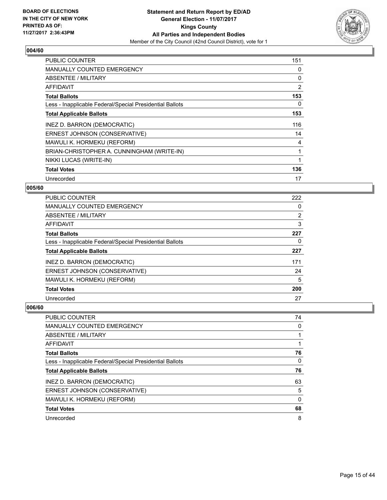

| <b>PUBLIC COUNTER</b>                                    | 151 |
|----------------------------------------------------------|-----|
| MANUALLY COUNTED EMERGENCY                               | 0   |
| <b>ABSENTEE / MILITARY</b>                               | 0   |
| AFFIDAVIT                                                | 2   |
| <b>Total Ballots</b>                                     | 153 |
| Less - Inapplicable Federal/Special Presidential Ballots | 0   |
| <b>Total Applicable Ballots</b>                          | 153 |
| INEZ D. BARRON (DEMOCRATIC)                              | 116 |
| ERNEST JOHNSON (CONSERVATIVE)                            | 14  |
| MAWULI K. HORMEKU (REFORM)                               | 4   |
| BRIAN-CHRISTOPHER A. CUNNINGHAM (WRITE-IN)               |     |
| NIKKI LUCAS (WRITE-IN)                                   | 1   |
| <b>Total Votes</b>                                       | 136 |
| Unrecorded                                               | 17  |

## **005/60**

| <b>PUBLIC COUNTER</b>                                    | 222            |
|----------------------------------------------------------|----------------|
| MANUALLY COUNTED EMERGENCY                               | 0              |
| ABSENTEE / MILITARY                                      | $\overline{2}$ |
| AFFIDAVIT                                                | 3              |
| <b>Total Ballots</b>                                     | 227            |
| Less - Inapplicable Federal/Special Presidential Ballots | 0              |
| <b>Total Applicable Ballots</b>                          | 227            |
| INEZ D. BARRON (DEMOCRATIC)                              | 171            |
| ERNEST JOHNSON (CONSERVATIVE)                            | 24             |
| MAWULI K. HORMEKU (REFORM)                               | 5              |
| <b>Total Votes</b>                                       | 200            |
| Unrecorded                                               | 27             |

| <b>PUBLIC COUNTER</b>                                    | 74 |
|----------------------------------------------------------|----|
| <b>MANUALLY COUNTED EMERGENCY</b>                        | 0  |
| ABSENTEE / MILITARY                                      |    |
| AFFIDAVIT                                                |    |
| <b>Total Ballots</b>                                     | 76 |
| Less - Inapplicable Federal/Special Presidential Ballots | 0  |
| <b>Total Applicable Ballots</b>                          | 76 |
| INEZ D. BARRON (DEMOCRATIC)                              | 63 |
| ERNEST JOHNSON (CONSERVATIVE)                            | 5  |
| MAWULI K. HORMEKU (REFORM)                               | 0  |
| <b>Total Votes</b>                                       | 68 |
| Unrecorded                                               | 8  |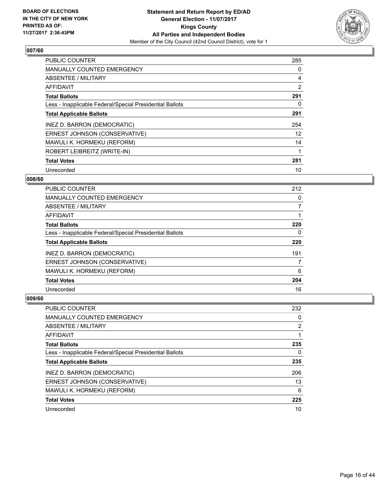

| <b>PUBLIC COUNTER</b>                                    | 285 |
|----------------------------------------------------------|-----|
| <b>MANUALLY COUNTED EMERGENCY</b>                        | 0   |
| ABSENTEE / MILITARY                                      | 4   |
| <b>AFFIDAVIT</b>                                         | 2   |
| <b>Total Ballots</b>                                     | 291 |
| Less - Inapplicable Federal/Special Presidential Ballots | 0   |
| <b>Total Applicable Ballots</b>                          | 291 |
| INEZ D. BARRON (DEMOCRATIC)                              | 254 |
| ERNEST JOHNSON (CONSERVATIVE)                            | 12  |
| MAWULI K. HORMEKU (REFORM)                               | 14  |
| ROBERT LEIBREITZ (WRITE-IN)                              |     |
| <b>Total Votes</b>                                       | 281 |
| Unrecorded                                               | 10  |

## **008/60**

| <b>PUBLIC COUNTER</b>                                    | 212 |
|----------------------------------------------------------|-----|
| <b>MANUALLY COUNTED EMERGENCY</b>                        | 0   |
| ABSENTEE / MILITARY                                      | 7   |
| AFFIDAVIT                                                |     |
| <b>Total Ballots</b>                                     | 220 |
| Less - Inapplicable Federal/Special Presidential Ballots | 0   |
| <b>Total Applicable Ballots</b>                          | 220 |
| INEZ D. BARRON (DEMOCRATIC)                              | 191 |
| ERNEST JOHNSON (CONSERVATIVE)                            |     |
| MAWULI K. HORMEKU (REFORM)                               | 6   |
| <b>Total Votes</b>                                       | 204 |
| Unrecorded                                               | 16  |

| <b>PUBLIC COUNTER</b>                                    | 232 |
|----------------------------------------------------------|-----|
| <b>MANUALLY COUNTED EMERGENCY</b>                        | 0   |
| ABSENTEE / MILITARY                                      | 2   |
| AFFIDAVIT                                                |     |
| <b>Total Ballots</b>                                     | 235 |
| Less - Inapplicable Federal/Special Presidential Ballots | 0   |
| <b>Total Applicable Ballots</b>                          | 235 |
| INEZ D. BARRON (DEMOCRATIC)                              | 206 |
| ERNEST JOHNSON (CONSERVATIVE)                            | 13  |
| MAWULI K. HORMEKU (REFORM)                               | 6   |
| <b>Total Votes</b>                                       | 225 |
|                                                          |     |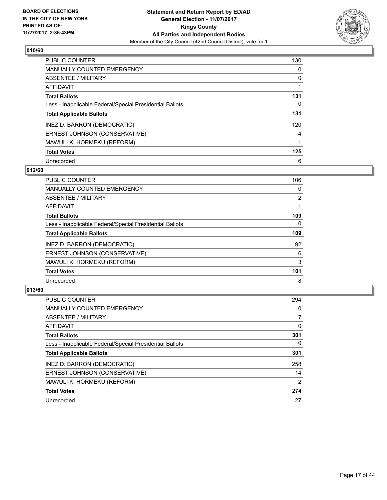

| <b>PUBLIC COUNTER</b>                                    | 130 |
|----------------------------------------------------------|-----|
| <b>MANUALLY COUNTED EMERGENCY</b>                        | 0   |
| ABSENTEE / MILITARY                                      | 0   |
| <b>AFFIDAVIT</b>                                         |     |
| <b>Total Ballots</b>                                     | 131 |
| Less - Inapplicable Federal/Special Presidential Ballots | 0   |
| <b>Total Applicable Ballots</b>                          | 131 |
| INEZ D. BARRON (DEMOCRATIC)                              | 120 |
| ERNEST JOHNSON (CONSERVATIVE)                            | 4   |
| MAWULI K. HORMEKU (REFORM)                               | 1   |
| <b>Total Votes</b>                                       | 125 |
| Unrecorded                                               | 6   |

## **012/60**

| <b>PUBLIC COUNTER</b>                                    | 106      |
|----------------------------------------------------------|----------|
| <b>MANUALLY COUNTED EMERGENCY</b>                        | 0        |
| ABSENTEE / MILITARY                                      | 2        |
| <b>AFFIDAVIT</b>                                         |          |
| <b>Total Ballots</b>                                     | 109      |
| Less - Inapplicable Federal/Special Presidential Ballots | $\Omega$ |
| <b>Total Applicable Ballots</b>                          | 109      |
| INEZ D. BARRON (DEMOCRATIC)                              | 92       |
| ERNEST JOHNSON (CONSERVATIVE)                            | 6        |
| MAWULI K. HORMEKU (REFORM)                               | 3        |
| <b>Total Votes</b>                                       | 101      |
| Unrecorded                                               | 8        |

| <b>PUBLIC COUNTER</b>                                    | 294 |
|----------------------------------------------------------|-----|
| <b>MANUALLY COUNTED EMERGENCY</b>                        | 0   |
| ABSENTEE / MILITARY                                      |     |
| AFFIDAVIT                                                | 0   |
| <b>Total Ballots</b>                                     | 301 |
| Less - Inapplicable Federal/Special Presidential Ballots | 0   |
| <b>Total Applicable Ballots</b>                          | 301 |
| INEZ D. BARRON (DEMOCRATIC)                              | 258 |
| ERNEST JOHNSON (CONSERVATIVE)                            | 14  |
| MAWULI K. HORMEKU (REFORM)                               | 2   |
| <b>Total Votes</b>                                       | 274 |
| Unrecorded                                               | 27  |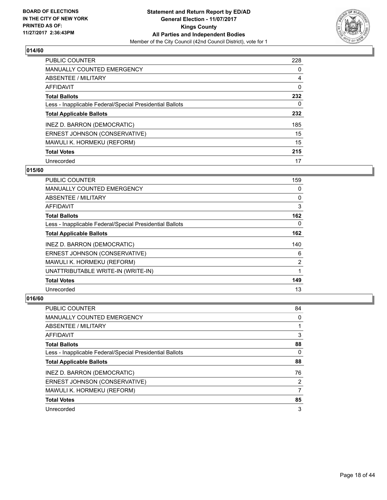

| <b>PUBLIC COUNTER</b>                                    | 228 |
|----------------------------------------------------------|-----|
| <b>MANUALLY COUNTED EMERGENCY</b>                        | 0   |
| ABSENTEE / MILITARY                                      | 4   |
| AFFIDAVIT                                                | 0   |
| <b>Total Ballots</b>                                     | 232 |
| Less - Inapplicable Federal/Special Presidential Ballots | 0   |
| <b>Total Applicable Ballots</b>                          | 232 |
| INEZ D. BARRON (DEMOCRATIC)                              | 185 |
| ERNEST JOHNSON (CONSERVATIVE)                            | 15  |
| MAWULI K. HORMEKU (REFORM)                               | 15  |
| <b>Total Votes</b>                                       | 215 |
| Unrecorded                                               | 17  |

#### **015/60**

| <b>PUBLIC COUNTER</b>                                    | 159 |
|----------------------------------------------------------|-----|
| <b>MANUALLY COUNTED EMERGENCY</b>                        | 0   |
| ABSENTEE / MILITARY                                      | 0   |
| AFFIDAVIT                                                | 3   |
| <b>Total Ballots</b>                                     | 162 |
| Less - Inapplicable Federal/Special Presidential Ballots | 0   |
| <b>Total Applicable Ballots</b>                          | 162 |
| INEZ D. BARRON (DEMOCRATIC)                              | 140 |
| ERNEST JOHNSON (CONSERVATIVE)                            | 6   |
| MAWULI K. HORMEKU (REFORM)                               | 2   |
| UNATTRIBUTABLE WRITE-IN (WRITE-IN)                       |     |
| <b>Total Votes</b>                                       | 149 |
| Unrecorded                                               | 13  |

| PUBLIC COUNTER                                           | 84 |
|----------------------------------------------------------|----|
| <b>MANUALLY COUNTED EMERGENCY</b>                        | 0  |
| <b>ABSENTEE / MILITARY</b>                               |    |
| AFFIDAVIT                                                | 3  |
| <b>Total Ballots</b>                                     | 88 |
| Less - Inapplicable Federal/Special Presidential Ballots | 0  |
| <b>Total Applicable Ballots</b>                          | 88 |
| INEZ D. BARRON (DEMOCRATIC)                              | 76 |
| ERNEST JOHNSON (CONSERVATIVE)                            | 2  |
| MAWULI K. HORMEKU (REFORM)                               | 7  |
| <b>Total Votes</b>                                       | 85 |
| Unrecorded                                               | 3  |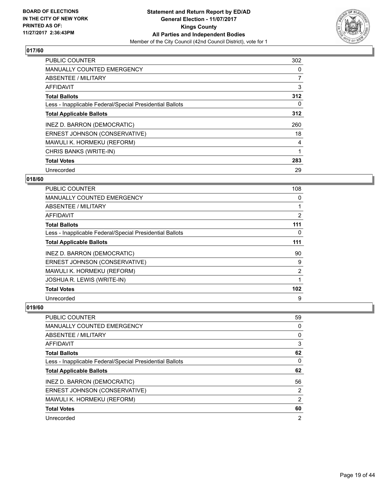

| <b>PUBLIC COUNTER</b>                                    | 302 |
|----------------------------------------------------------|-----|
| <b>MANUALLY COUNTED EMERGENCY</b>                        | 0   |
| ABSENTEE / MILITARY                                      | 7   |
| <b>AFFIDAVIT</b>                                         | 3   |
| <b>Total Ballots</b>                                     | 312 |
| Less - Inapplicable Federal/Special Presidential Ballots | 0   |
| <b>Total Applicable Ballots</b>                          | 312 |
| INEZ D. BARRON (DEMOCRATIC)                              | 260 |
| ERNEST JOHNSON (CONSERVATIVE)                            | 18  |
| MAWULI K. HORMEKU (REFORM)                               | 4   |
| CHRIS BANKS (WRITE-IN)                                   | 1   |
| <b>Total Votes</b>                                       | 283 |
| Unrecorded                                               | 29  |

## **018/60**

| <b>PUBLIC COUNTER</b>                                    | 108 |
|----------------------------------------------------------|-----|
| <b>MANUALLY COUNTED EMERGENCY</b>                        | 0   |
| ABSENTEE / MILITARY                                      |     |
| AFFIDAVIT                                                | 2   |
| <b>Total Ballots</b>                                     | 111 |
| Less - Inapplicable Federal/Special Presidential Ballots | 0   |
| <b>Total Applicable Ballots</b>                          | 111 |
| INEZ D. BARRON (DEMOCRATIC)                              | 90  |
| ERNEST JOHNSON (CONSERVATIVE)                            | 9   |
| MAWULI K. HORMEKU (REFORM)                               | 2   |
| JOSHUA R. LEWIS (WRITE-IN)                               |     |
| <b>Total Votes</b>                                       | 102 |
| Unrecorded                                               | 9   |

| <b>PUBLIC COUNTER</b>                                    | 59 |
|----------------------------------------------------------|----|
| <b>MANUALLY COUNTED EMERGENCY</b>                        | 0  |
| ABSENTEE / MILITARY                                      | 0  |
| AFFIDAVIT                                                | 3  |
| <b>Total Ballots</b>                                     | 62 |
| Less - Inapplicable Federal/Special Presidential Ballots | 0  |
|                                                          |    |
| <b>Total Applicable Ballots</b>                          | 62 |
| INEZ D. BARRON (DEMOCRATIC)                              | 56 |
| ERNEST JOHNSON (CONSERVATIVE)                            | 2  |
| MAWULI K. HORMEKU (REFORM)                               | 2  |
| <b>Total Votes</b>                                       | 60 |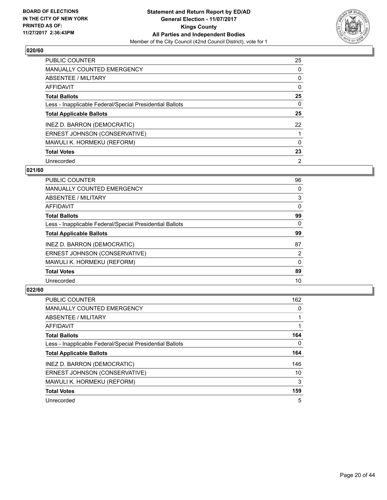

| <b>PUBLIC COUNTER</b>                                    | 25             |
|----------------------------------------------------------|----------------|
| <b>MANUALLY COUNTED EMERGENCY</b>                        | 0              |
| ABSENTEE / MILITARY                                      | 0              |
| AFFIDAVIT                                                | 0              |
| <b>Total Ballots</b>                                     | 25             |
| Less - Inapplicable Federal/Special Presidential Ballots | 0              |
| <b>Total Applicable Ballots</b>                          | 25             |
| INEZ D. BARRON (DEMOCRATIC)                              | 22             |
| ERNEST JOHNSON (CONSERVATIVE)                            |                |
| MAWULI K. HORMEKU (REFORM)                               | 0              |
| <b>Total Votes</b>                                       | 23             |
| Unrecorded                                               | $\overline{2}$ |

#### **021/60**

| <b>PUBLIC COUNTER</b>                                    | 96       |
|----------------------------------------------------------|----------|
| <b>MANUALLY COUNTED EMERGENCY</b>                        | 0        |
| ABSENTEE / MILITARY                                      | 3        |
| <b>AFFIDAVIT</b>                                         | 0        |
| <b>Total Ballots</b>                                     | 99       |
| Less - Inapplicable Federal/Special Presidential Ballots | 0        |
| <b>Total Applicable Ballots</b>                          | 99       |
| INEZ D. BARRON (DEMOCRATIC)                              | 87       |
| ERNEST JOHNSON (CONSERVATIVE)                            | 2        |
| MAWULI K. HORMEKU (REFORM)                               | $\Omega$ |
| <b>Total Votes</b>                                       | 89       |
| Unrecorded                                               | 10       |

| <b>PUBLIC COUNTER</b>                                    | 162 |
|----------------------------------------------------------|-----|
| <b>MANUALLY COUNTED EMERGENCY</b>                        | 0   |
| ABSENTEE / MILITARY                                      |     |
| <b>AFFIDAVIT</b>                                         |     |
| <b>Total Ballots</b>                                     | 164 |
| Less - Inapplicable Federal/Special Presidential Ballots | 0   |
| <b>Total Applicable Ballots</b>                          | 164 |
| INEZ D. BARRON (DEMOCRATIC)                              | 146 |
| ERNEST JOHNSON (CONSERVATIVE)                            | 10  |
| MAWULI K. HORMEKU (REFORM)                               | 3   |
| <b>Total Votes</b>                                       | 159 |
| Unrecorded                                               | 5   |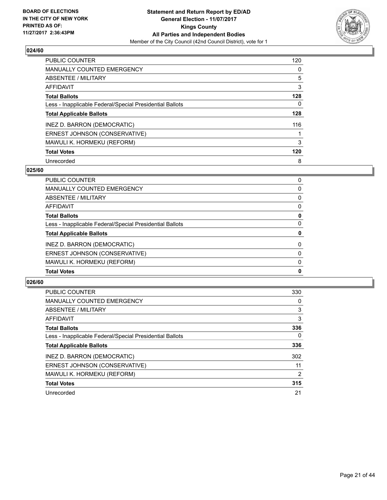

| <b>PUBLIC COUNTER</b>                                    | 120 |
|----------------------------------------------------------|-----|
| <b>MANUALLY COUNTED EMERGENCY</b>                        | 0   |
| ABSENTEE / MILITARY                                      | 5   |
| <b>AFFIDAVIT</b>                                         | 3   |
| <b>Total Ballots</b>                                     | 128 |
| Less - Inapplicable Federal/Special Presidential Ballots | 0   |
| <b>Total Applicable Ballots</b>                          | 128 |
| INEZ D. BARRON (DEMOCRATIC)                              | 116 |
| ERNEST JOHNSON (CONSERVATIVE)                            |     |
| MAWULI K. HORMEKU (REFORM)                               | 3   |
| <b>Total Votes</b>                                       | 120 |
| Unrecorded                                               | 8   |

#### **025/60**

| PUBLIC COUNTER                                           | 0 |
|----------------------------------------------------------|---|
| <b>MANUALLY COUNTED EMERGENCY</b>                        | 0 |
| ABSENTEE / MILITARY                                      | 0 |
| AFFIDAVIT                                                | 0 |
| <b>Total Ballots</b>                                     | 0 |
| Less - Inapplicable Federal/Special Presidential Ballots | 0 |
| <b>Total Applicable Ballots</b>                          | 0 |
| INEZ D. BARRON (DEMOCRATIC)                              | 0 |
| ERNEST JOHNSON (CONSERVATIVE)                            | 0 |
| MAWULI K. HORMEKU (REFORM)                               | 0 |
| <b>Total Votes</b>                                       | 0 |

| <b>PUBLIC COUNTER</b>                                    | 330 |
|----------------------------------------------------------|-----|
| <b>MANUALLY COUNTED EMERGENCY</b>                        | 0   |
| ABSENTEE / MILITARY                                      | 3   |
| AFFIDAVIT                                                | 3   |
| <b>Total Ballots</b>                                     | 336 |
| Less - Inapplicable Federal/Special Presidential Ballots | 0   |
| <b>Total Applicable Ballots</b>                          | 336 |
| INEZ D. BARRON (DEMOCRATIC)                              | 302 |
| ERNEST JOHNSON (CONSERVATIVE)                            | 11  |
| MAWULI K. HORMEKU (REFORM)                               | 2   |
| <b>Total Votes</b>                                       | 315 |
| Unrecorded                                               | 21  |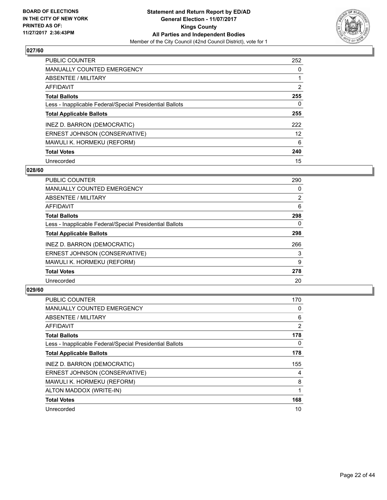

| <b>PUBLIC COUNTER</b>                                    | 252 |
|----------------------------------------------------------|-----|
| MANUALLY COUNTED EMERGENCY                               | 0   |
| ABSENTEE / MILITARY                                      |     |
| AFFIDAVIT                                                | 2   |
| <b>Total Ballots</b>                                     | 255 |
| Less - Inapplicable Federal/Special Presidential Ballots | 0   |
| <b>Total Applicable Ballots</b>                          | 255 |
| INEZ D. BARRON (DEMOCRATIC)                              | 222 |
| ERNEST JOHNSON (CONSERVATIVE)                            | 12  |
| MAWULI K. HORMEKU (REFORM)                               | 6   |
| <b>Total Votes</b>                                       | 240 |
| Unrecorded                                               | 15  |

#### **028/60**

| <b>PUBLIC COUNTER</b>                                    | 290            |
|----------------------------------------------------------|----------------|
| <b>MANUALLY COUNTED EMERGENCY</b>                        | 0              |
| ABSENTEE / MILITARY                                      | $\overline{2}$ |
| <b>AFFIDAVIT</b>                                         | 6              |
| <b>Total Ballots</b>                                     | 298            |
| Less - Inapplicable Federal/Special Presidential Ballots | 0              |
| <b>Total Applicable Ballots</b>                          | 298            |
| INEZ D. BARRON (DEMOCRATIC)                              | 266            |
| ERNEST JOHNSON (CONSERVATIVE)                            | 3              |
| MAWULI K. HORMEKU (REFORM)                               | 9              |
| <b>Total Votes</b>                                       | 278            |
| Unrecorded                                               | 20             |

| <b>PUBLIC COUNTER</b>                                    | 170 |
|----------------------------------------------------------|-----|
| <b>MANUALLY COUNTED EMERGENCY</b>                        | 0   |
| ABSENTEE / MILITARY                                      | 6   |
| AFFIDAVIT                                                | 2   |
| <b>Total Ballots</b>                                     | 178 |
| Less - Inapplicable Federal/Special Presidential Ballots | 0   |
| <b>Total Applicable Ballots</b>                          | 178 |
| INEZ D. BARRON (DEMOCRATIC)                              | 155 |
| ERNEST JOHNSON (CONSERVATIVE)                            | 4   |
| MAWULI K. HORMEKU (REFORM)                               | 8   |
| ALTON MADDOX (WRITE-IN)                                  |     |
| <b>Total Votes</b>                                       | 168 |
| Unrecorded                                               | 10  |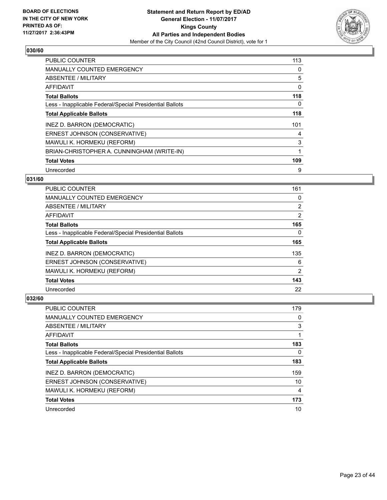

| <b>PUBLIC COUNTER</b>                                    | 113 |
|----------------------------------------------------------|-----|
| <b>MANUALLY COUNTED EMERGENCY</b>                        | 0   |
| ABSENTEE / MILITARY                                      | 5   |
| AFFIDAVIT                                                | 0   |
| <b>Total Ballots</b>                                     | 118 |
| Less - Inapplicable Federal/Special Presidential Ballots | 0   |
| <b>Total Applicable Ballots</b>                          | 118 |
| INEZ D. BARRON (DEMOCRATIC)                              | 101 |
| ERNEST JOHNSON (CONSERVATIVE)                            | 4   |
| MAWULI K. HORMEKU (REFORM)                               | 3   |
| BRIAN-CHRISTOPHER A. CUNNINGHAM (WRITE-IN)               |     |
| <b>Total Votes</b>                                       | 109 |
| Unrecorded                                               | 9   |

## **031/60**

| <b>PUBLIC COUNTER</b>                                    | 161            |
|----------------------------------------------------------|----------------|
| <b>MANUALLY COUNTED EMERGENCY</b>                        | 0              |
| ABSENTEE / MILITARY                                      | $\overline{2}$ |
| AFFIDAVIT                                                | 2              |
| <b>Total Ballots</b>                                     | 165            |
| Less - Inapplicable Federal/Special Presidential Ballots | 0              |
| <b>Total Applicable Ballots</b>                          | 165            |
| INEZ D. BARRON (DEMOCRATIC)                              | 135            |
| ERNEST JOHNSON (CONSERVATIVE)                            | 6              |
| MAWULI K. HORMEKU (REFORM)                               | 2              |
| <b>Total Votes</b>                                       | 143            |
| Unrecorded                                               | 22             |

| <b>PUBLIC COUNTER</b>                                    | 179 |
|----------------------------------------------------------|-----|
| <b>MANUALLY COUNTED EMERGENCY</b>                        | 0   |
| ABSENTEE / MILITARY                                      | 3   |
| AFFIDAVIT                                                |     |
| <b>Total Ballots</b>                                     | 183 |
| Less - Inapplicable Federal/Special Presidential Ballots | 0   |
| <b>Total Applicable Ballots</b>                          | 183 |
| INEZ D. BARRON (DEMOCRATIC)                              | 159 |
| ERNEST JOHNSON (CONSERVATIVE)                            | 10  |
| MAWULI K. HORMEKU (REFORM)                               | 4   |
| <b>Total Votes</b>                                       | 173 |
| Unrecorded                                               | 10  |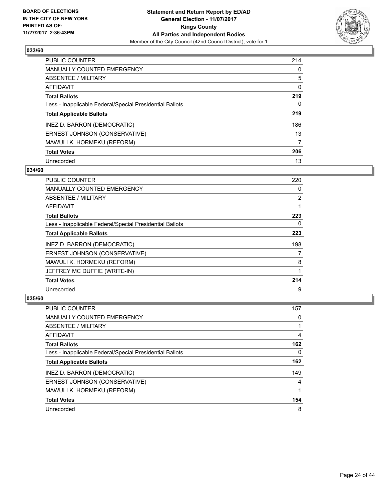

| <b>PUBLIC COUNTER</b>                                    | 214 |
|----------------------------------------------------------|-----|
| <b>MANUALLY COUNTED EMERGENCY</b>                        | 0   |
| ABSENTEE / MILITARY                                      | 5   |
| <b>AFFIDAVIT</b>                                         | 0   |
| <b>Total Ballots</b>                                     | 219 |
| Less - Inapplicable Federal/Special Presidential Ballots | 0   |
| <b>Total Applicable Ballots</b>                          | 219 |
| INEZ D. BARRON (DEMOCRATIC)                              | 186 |
| ERNEST JOHNSON (CONSERVATIVE)                            | 13  |
| MAWULI K. HORMEKU (REFORM)                               | 7   |
| <b>Total Votes</b>                                       | 206 |
| Unrecorded                                               | 13  |

#### **034/60**

| <b>PUBLIC COUNTER</b>                                    | 220            |
|----------------------------------------------------------|----------------|
| <b>MANUALLY COUNTED EMERGENCY</b>                        | 0              |
| ABSENTEE / MILITARY                                      | $\overline{2}$ |
| AFFIDAVIT                                                |                |
| <b>Total Ballots</b>                                     | 223            |
| Less - Inapplicable Federal/Special Presidential Ballots | 0              |
| <b>Total Applicable Ballots</b>                          | 223            |
| INEZ D. BARRON (DEMOCRATIC)                              | 198            |
| ERNEST JOHNSON (CONSERVATIVE)                            | 7              |
| MAWULI K. HORMEKU (REFORM)                               | 8              |
| JEFFREY MC DUFFIE (WRITE-IN)                             |                |
| <b>Total Votes</b>                                       | 214            |
| Unrecorded                                               | 9              |

| PUBLIC COUNTER                                           | 157 |
|----------------------------------------------------------|-----|
| <b>MANUALLY COUNTED EMERGENCY</b>                        | 0   |
| ABSENTEE / MILITARY                                      |     |
| AFFIDAVIT                                                | 4   |
| <b>Total Ballots</b>                                     | 162 |
| Less - Inapplicable Federal/Special Presidential Ballots | 0   |
| <b>Total Applicable Ballots</b>                          | 162 |
| INEZ D. BARRON (DEMOCRATIC)                              | 149 |
| ERNEST JOHNSON (CONSERVATIVE)                            | 4   |
| MAWULI K. HORMEKU (REFORM)                               |     |
| <b>Total Votes</b>                                       | 154 |
| Unrecorded                                               | 8   |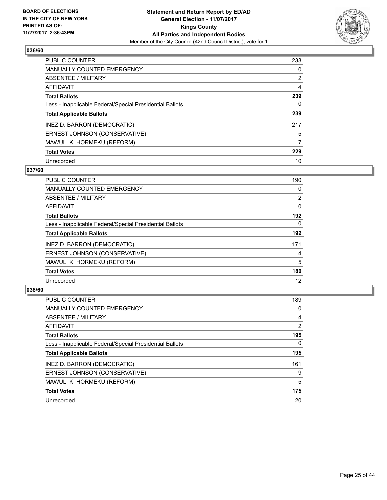

| <b>PUBLIC COUNTER</b>                                    | 233 |
|----------------------------------------------------------|-----|
| <b>MANUALLY COUNTED EMERGENCY</b>                        | 0   |
| ABSENTEE / MILITARY                                      | 2   |
| AFFIDAVIT                                                | 4   |
| <b>Total Ballots</b>                                     | 239 |
| Less - Inapplicable Federal/Special Presidential Ballots | 0   |
| <b>Total Applicable Ballots</b>                          | 239 |
| INEZ D. BARRON (DEMOCRATIC)                              | 217 |
| ERNEST JOHNSON (CONSERVATIVE)                            | 5   |
| MAWULI K. HORMEKU (REFORM)                               | 7   |
| <b>Total Votes</b>                                       | 229 |
| Unrecorded                                               | 10  |

#### **037/60**

| <b>PUBLIC COUNTER</b>                                    | 190            |
|----------------------------------------------------------|----------------|
| <b>MANUALLY COUNTED EMERGENCY</b>                        | 0              |
| ABSENTEE / MILITARY                                      | $\overline{2}$ |
| <b>AFFIDAVIT</b>                                         | $\Omega$       |
| <b>Total Ballots</b>                                     | 192            |
| Less - Inapplicable Federal/Special Presidential Ballots | $\Omega$       |
| <b>Total Applicable Ballots</b>                          | 192            |
| INEZ D. BARRON (DEMOCRATIC)                              | 171            |
| ERNEST JOHNSON (CONSERVATIVE)                            | 4              |
| MAWULI K. HORMEKU (REFORM)                               | 5              |
| <b>Total Votes</b>                                       | 180            |
| Unrecorded                                               | 12             |

| <b>PUBLIC COUNTER</b>                                    | 189 |
|----------------------------------------------------------|-----|
| <b>MANUALLY COUNTED EMERGENCY</b>                        | 0   |
| ABSENTEE / MILITARY                                      | 4   |
| AFFIDAVIT                                                | 2   |
| <b>Total Ballots</b>                                     | 195 |
| Less - Inapplicable Federal/Special Presidential Ballots | 0   |
| <b>Total Applicable Ballots</b>                          | 195 |
| INEZ D. BARRON (DEMOCRATIC)                              | 161 |
| ERNEST JOHNSON (CONSERVATIVE)                            | 9   |
| MAWULI K. HORMEKU (REFORM)                               | 5   |
| <b>Total Votes</b>                                       | 175 |
| Unrecorded                                               | 20  |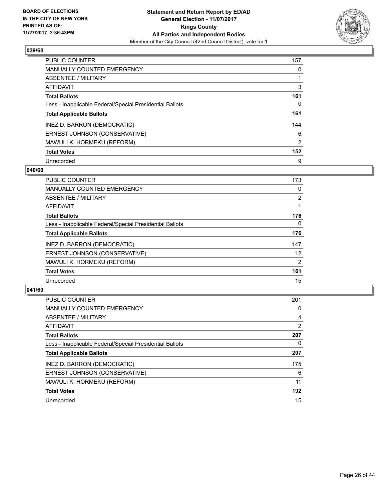

| <b>PUBLIC COUNTER</b>                                    | 157 |
|----------------------------------------------------------|-----|
| MANUALLY COUNTED EMERGENCY                               | 0   |
| ABSENTEE / MILITARY                                      |     |
| <b>AFFIDAVIT</b>                                         | 3   |
| <b>Total Ballots</b>                                     | 161 |
| Less - Inapplicable Federal/Special Presidential Ballots | 0   |
| <b>Total Applicable Ballots</b>                          | 161 |
| INEZ D. BARRON (DEMOCRATIC)                              | 144 |
| ERNEST JOHNSON (CONSERVATIVE)                            | 6   |
| MAWULI K. HORMEKU (REFORM)                               | 2   |
| <b>Total Votes</b>                                       | 152 |
| Unrecorded                                               | 9   |

#### **040/60**

| <b>PUBLIC COUNTER</b>                                    | 173            |
|----------------------------------------------------------|----------------|
| <b>MANUALLY COUNTED EMERGENCY</b>                        | 0              |
| ABSENTEE / MILITARY                                      | $\overline{2}$ |
| <b>AFFIDAVIT</b>                                         |                |
| <b>Total Ballots</b>                                     | 176            |
| Less - Inapplicable Federal/Special Presidential Ballots | $\Omega$       |
| <b>Total Applicable Ballots</b>                          | 176            |
| INEZ D. BARRON (DEMOCRATIC)                              | 147            |
| ERNEST JOHNSON (CONSERVATIVE)                            | 12             |
| MAWULI K. HORMEKU (REFORM)                               | $\overline{2}$ |
| <b>Total Votes</b>                                       | 161            |
| Unrecorded                                               | 15             |

| <b>PUBLIC COUNTER</b>                                    | 201 |
|----------------------------------------------------------|-----|
| <b>MANUALLY COUNTED EMERGENCY</b>                        | 0   |
| ABSENTEE / MILITARY                                      | 4   |
| <b>AFFIDAVIT</b>                                         | 2   |
| <b>Total Ballots</b>                                     | 207 |
| Less - Inapplicable Federal/Special Presidential Ballots | 0   |
| <b>Total Applicable Ballots</b>                          | 207 |
| INEZ D. BARRON (DEMOCRATIC)                              | 175 |
| ERNEST JOHNSON (CONSERVATIVE)                            | 6   |
| MAWULI K. HORMEKU (REFORM)                               | 11  |
| <b>Total Votes</b>                                       | 192 |
| Unrecorded                                               | 15  |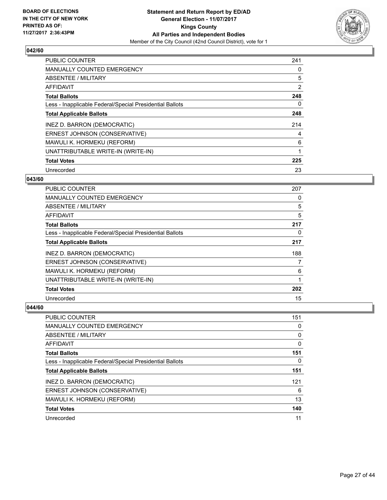

| <b>PUBLIC COUNTER</b>                                    | 241 |
|----------------------------------------------------------|-----|
| <b>MANUALLY COUNTED EMERGENCY</b>                        | 0   |
| ABSENTEE / MILITARY                                      | 5   |
| <b>AFFIDAVIT</b>                                         | 2   |
| <b>Total Ballots</b>                                     | 248 |
| Less - Inapplicable Federal/Special Presidential Ballots | 0   |
| <b>Total Applicable Ballots</b>                          | 248 |
| INEZ D. BARRON (DEMOCRATIC)                              | 214 |
| ERNEST JOHNSON (CONSERVATIVE)                            | 4   |
| MAWULI K. HORMEKU (REFORM)                               | 6   |
| UNATTRIBUTABLE WRITE-IN (WRITE-IN)                       | 1   |
| <b>Total Votes</b>                                       | 225 |
| Unrecorded                                               | 23  |

## **043/60**

| <b>PUBLIC COUNTER</b>                                    | 207 |
|----------------------------------------------------------|-----|
| <b>MANUALLY COUNTED EMERGENCY</b>                        | 0   |
| ABSENTEE / MILITARY                                      | 5   |
| AFFIDAVIT                                                | 5   |
| <b>Total Ballots</b>                                     | 217 |
| Less - Inapplicable Federal/Special Presidential Ballots | 0   |
| <b>Total Applicable Ballots</b>                          | 217 |
| INEZ D. BARRON (DEMOCRATIC)                              | 188 |
| ERNEST JOHNSON (CONSERVATIVE)                            | 7   |
| MAWULI K. HORMEKU (REFORM)                               | 6   |
| UNATTRIBUTABLE WRITE-IN (WRITE-IN)                       | 1   |
| <b>Total Votes</b>                                       | 202 |
| Unrecorded                                               | 15  |

| PUBLIC COUNTER                                           | 151 |
|----------------------------------------------------------|-----|
| <b>MANUALLY COUNTED EMERGENCY</b>                        | 0   |
| ABSENTEE / MILITARY                                      | 0   |
| AFFIDAVIT                                                | 0   |
| <b>Total Ballots</b>                                     | 151 |
| Less - Inapplicable Federal/Special Presidential Ballots | 0   |
| <b>Total Applicable Ballots</b>                          | 151 |
| INEZ D. BARRON (DEMOCRATIC)                              | 121 |
| ERNEST JOHNSON (CONSERVATIVE)                            | 6   |
| MAWULI K. HORMEKU (REFORM)                               | 13  |
| <b>Total Votes</b>                                       | 140 |
| Unrecorded                                               | 11  |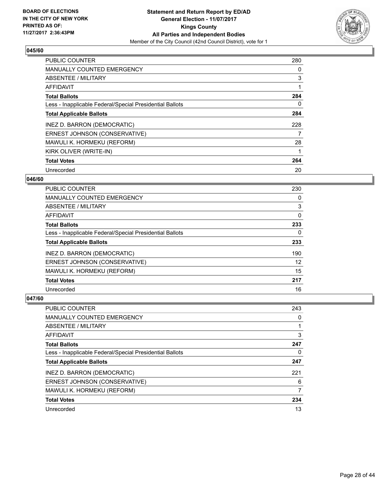

| <b>PUBLIC COUNTER</b>                                    | 280 |
|----------------------------------------------------------|-----|
| <b>MANUALLY COUNTED EMERGENCY</b>                        | 0   |
| ABSENTEE / MILITARY                                      | 3   |
| <b>AFFIDAVIT</b>                                         |     |
| <b>Total Ballots</b>                                     | 284 |
| Less - Inapplicable Federal/Special Presidential Ballots | 0   |
| <b>Total Applicable Ballots</b>                          | 284 |
| INEZ D. BARRON (DEMOCRATIC)                              | 228 |
| ERNEST JOHNSON (CONSERVATIVE)                            | 7   |
| MAWULI K. HORMEKU (REFORM)                               | 28  |
| KIRK OLIVER (WRITE-IN)                                   |     |
| <b>Total Votes</b>                                       | 264 |
| Unrecorded                                               | 20  |

## **046/60**

| <b>PUBLIC COUNTER</b>                                    | 230 |
|----------------------------------------------------------|-----|
| <b>MANUALLY COUNTED EMERGENCY</b>                        | 0   |
| ABSENTEE / MILITARY                                      | 3   |
| AFFIDAVIT                                                | 0   |
| <b>Total Ballots</b>                                     | 233 |
| Less - Inapplicable Federal/Special Presidential Ballots | 0   |
| <b>Total Applicable Ballots</b>                          | 233 |
| INEZ D. BARRON (DEMOCRATIC)                              | 190 |
| ERNEST JOHNSON (CONSERVATIVE)                            | 12  |
| MAWULI K. HORMEKU (REFORM)                               | 15  |
| <b>Total Votes</b>                                       | 217 |
| Unrecorded                                               | 16  |

| <b>PUBLIC COUNTER</b>                                    | 243 |
|----------------------------------------------------------|-----|
| <b>MANUALLY COUNTED EMERGENCY</b>                        | 0   |
| ABSENTEE / MILITARY                                      |     |
| AFFIDAVIT                                                | 3   |
| <b>Total Ballots</b>                                     | 247 |
| Less - Inapplicable Federal/Special Presidential Ballots | 0   |
| <b>Total Applicable Ballots</b>                          | 247 |
| INEZ D. BARRON (DEMOCRATIC)                              | 221 |
| ERNEST JOHNSON (CONSERVATIVE)                            | 6   |
| MAWULI K. HORMEKU (REFORM)                               | 7   |
| <b>Total Votes</b>                                       | 234 |
| Unrecorded                                               | 13  |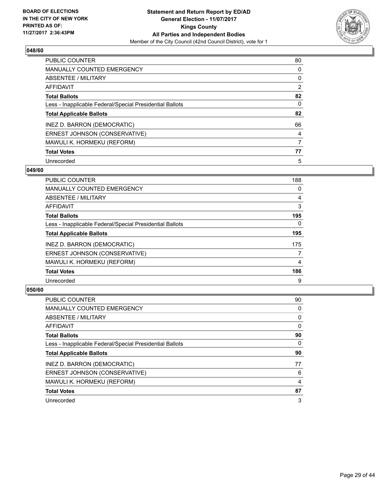

| <b>PUBLIC COUNTER</b>                                    | 80             |
|----------------------------------------------------------|----------------|
| MANUALLY COUNTED EMERGENCY                               | 0              |
| ABSENTEE / MILITARY                                      | 0              |
| <b>AFFIDAVIT</b>                                         | $\overline{2}$ |
| <b>Total Ballots</b>                                     | 82             |
| Less - Inapplicable Federal/Special Presidential Ballots | 0              |
| <b>Total Applicable Ballots</b>                          | 82             |
| INEZ D. BARRON (DEMOCRATIC)                              | 66             |
| ERNEST JOHNSON (CONSERVATIVE)                            | 4              |
| MAWULI K. HORMEKU (REFORM)                               | 7              |
| <b>Total Votes</b>                                       | 77             |
| Unrecorded                                               | 5              |

#### **049/60**

| <b>PUBLIC COUNTER</b>                                    | 188      |
|----------------------------------------------------------|----------|
| <b>MANUALLY COUNTED EMERGENCY</b>                        | 0        |
| ABSENTEE / MILITARY                                      | 4        |
| <b>AFFIDAVIT</b>                                         | 3        |
| <b>Total Ballots</b>                                     | 195      |
| Less - Inapplicable Federal/Special Presidential Ballots | $\Omega$ |
| <b>Total Applicable Ballots</b>                          | 195      |
| INEZ D. BARRON (DEMOCRATIC)                              | 175      |
| ERNEST JOHNSON (CONSERVATIVE)                            | 7        |
| MAWULI K. HORMEKU (REFORM)                               | 4        |
| <b>Total Votes</b>                                       | 186      |
| Unrecorded                                               | 9        |

| PUBLIC COUNTER                                           | 90 |
|----------------------------------------------------------|----|
| <b>MANUALLY COUNTED EMERGENCY</b>                        | 0  |
| ABSENTEE / MILITARY                                      | 0  |
| AFFIDAVIT                                                | 0  |
| <b>Total Ballots</b>                                     | 90 |
| Less - Inapplicable Federal/Special Presidential Ballots | 0  |
| <b>Total Applicable Ballots</b>                          | 90 |
| INEZ D. BARRON (DEMOCRATIC)                              | 77 |
| ERNEST JOHNSON (CONSERVATIVE)                            | 6  |
| MAWULI K. HORMEKU (REFORM)                               | 4  |
| <b>Total Votes</b>                                       | 87 |
| Unrecorded                                               | 3  |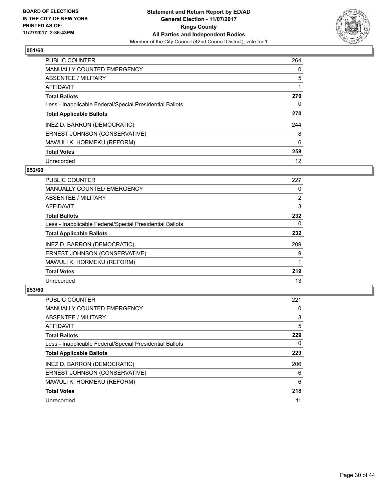

| <b>PUBLIC COUNTER</b>                                    | 264 |
|----------------------------------------------------------|-----|
| MANUALLY COUNTED EMERGENCY                               | 0   |
| ABSENTEE / MILITARY                                      | 5   |
| <b>AFFIDAVIT</b>                                         |     |
| <b>Total Ballots</b>                                     | 270 |
| Less - Inapplicable Federal/Special Presidential Ballots | 0   |
| <b>Total Applicable Ballots</b>                          | 270 |
| INEZ D. BARRON (DEMOCRATIC)                              | 244 |
| ERNEST JOHNSON (CONSERVATIVE)                            | 8   |
| MAWULI K. HORMEKU (REFORM)                               | 6   |
| <b>Total Votes</b>                                       | 258 |
| Unrecorded                                               | 12  |

#### **052/60**

| <b>PUBLIC COUNTER</b>                                    | 227            |
|----------------------------------------------------------|----------------|
| <b>MANUALLY COUNTED EMERGENCY</b>                        | 0              |
| ABSENTEE / MILITARY                                      | $\overline{2}$ |
| <b>AFFIDAVIT</b>                                         | 3              |
| <b>Total Ballots</b>                                     | 232            |
| Less - Inapplicable Federal/Special Presidential Ballots | $\Omega$       |
| <b>Total Applicable Ballots</b>                          | 232            |
| INEZ D. BARRON (DEMOCRATIC)                              | 209            |
| ERNEST JOHNSON (CONSERVATIVE)                            | 9              |
| MAWULI K. HORMEKU (REFORM)                               |                |
| <b>Total Votes</b>                                       | 219            |
| Unrecorded                                               | 13             |

| <b>PUBLIC COUNTER</b>                                    | 221 |
|----------------------------------------------------------|-----|
| <b>MANUALLY COUNTED EMERGENCY</b>                        | 0   |
| ABSENTEE / MILITARY                                      | 3   |
| AFFIDAVIT                                                | 5   |
| <b>Total Ballots</b>                                     | 229 |
| Less - Inapplicable Federal/Special Presidential Ballots | 0   |
| <b>Total Applicable Ballots</b>                          | 229 |
| INEZ D. BARRON (DEMOCRATIC)                              | 206 |
| ERNEST JOHNSON (CONSERVATIVE)                            | 6   |
| MAWULI K. HORMEKU (REFORM)                               | 6   |
| <b>Total Votes</b>                                       | 218 |
| Unrecorded                                               | 11  |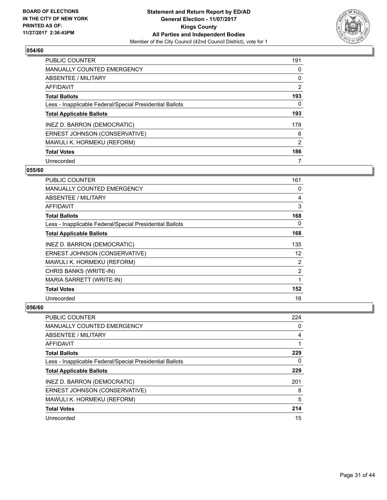

| <b>PUBLIC COUNTER</b>                                    | 191            |
|----------------------------------------------------------|----------------|
| <b>MANUALLY COUNTED EMERGENCY</b>                        | 0              |
| <b>ABSENTEE / MILITARY</b>                               | 0              |
| <b>AFFIDAVIT</b>                                         | $\overline{2}$ |
| <b>Total Ballots</b>                                     | 193            |
| Less - Inapplicable Federal/Special Presidential Ballots | 0              |
| <b>Total Applicable Ballots</b>                          | 193            |
| INEZ D. BARRON (DEMOCRATIC)                              | 178            |
| ERNEST JOHNSON (CONSERVATIVE)                            | 6              |
| MAWULI K. HORMEKU (REFORM)                               | 2              |
| <b>Total Votes</b>                                       | 186            |
| Unrecorded                                               |                |

#### **055/60**

| <b>PUBLIC COUNTER</b>                                    | 161 |
|----------------------------------------------------------|-----|
| <b>MANUALLY COUNTED EMERGENCY</b>                        | 0   |
| ABSENTEE / MILITARY                                      | 4   |
| <b>AFFIDAVIT</b>                                         | 3   |
| <b>Total Ballots</b>                                     | 168 |
| Less - Inapplicable Federal/Special Presidential Ballots | 0   |
| <b>Total Applicable Ballots</b>                          | 168 |
| INEZ D. BARRON (DEMOCRATIC)                              | 135 |
| ERNEST JOHNSON (CONSERVATIVE)                            | 12  |
| MAWULI K. HORMEKU (REFORM)                               | 2   |
| CHRIS BANKS (WRITE-IN)                                   | 2   |
| MARIA SARRETT (WRITE-IN)                                 | 1   |
| <b>Total Votes</b>                                       | 152 |
| Unrecorded                                               | 16  |

| <b>PUBLIC COUNTER</b>                                    | 224 |
|----------------------------------------------------------|-----|
| <b>MANUALLY COUNTED EMERGENCY</b>                        | 0   |
| ABSENTEE / MILITARY                                      | 4   |
| AFFIDAVIT                                                |     |
| <b>Total Ballots</b>                                     | 229 |
| Less - Inapplicable Federal/Special Presidential Ballots | 0   |
| <b>Total Applicable Ballots</b>                          | 229 |
| INEZ D. BARRON (DEMOCRATIC)                              | 201 |
| ERNEST JOHNSON (CONSERVATIVE)                            | 8   |
| MAWULI K. HORMEKU (REFORM)                               | 5   |
| <b>Total Votes</b>                                       | 214 |
| Unrecorded                                               | 15  |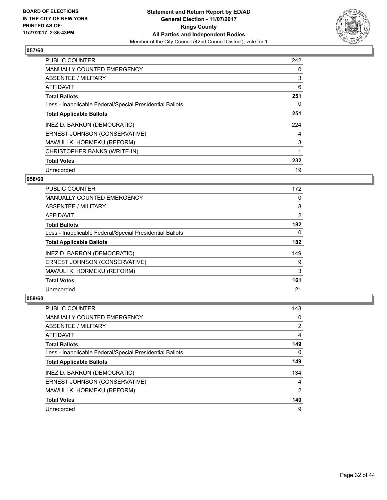

| <b>PUBLIC COUNTER</b>                                    | 242 |
|----------------------------------------------------------|-----|
| <b>MANUALLY COUNTED EMERGENCY</b>                        | 0   |
| ABSENTEE / MILITARY                                      | 3   |
| <b>AFFIDAVIT</b>                                         | 6   |
| <b>Total Ballots</b>                                     | 251 |
| Less - Inapplicable Federal/Special Presidential Ballots | 0   |
| <b>Total Applicable Ballots</b>                          | 251 |
| INEZ D. BARRON (DEMOCRATIC)                              | 224 |
| ERNEST JOHNSON (CONSERVATIVE)                            | 4   |
| MAWULI K. HORMEKU (REFORM)                               | 3   |
| CHRISTOPHER BANKS (WRITE-IN)                             |     |
| <b>Total Votes</b>                                       | 232 |
| Unrecorded                                               | 19  |

## **058/60**

| <b>PUBLIC COUNTER</b>                                    | 172 |
|----------------------------------------------------------|-----|
| <b>MANUALLY COUNTED EMERGENCY</b>                        | 0   |
| ABSENTEE / MILITARY                                      | 8   |
| <b>AFFIDAVIT</b>                                         | 2   |
| <b>Total Ballots</b>                                     | 182 |
| Less - Inapplicable Federal/Special Presidential Ballots | 0   |
| <b>Total Applicable Ballots</b>                          | 182 |
| INEZ D. BARRON (DEMOCRATIC)                              | 149 |
| ERNEST JOHNSON (CONSERVATIVE)                            | 9   |
| MAWULI K. HORMEKU (REFORM)                               | 3   |
| <b>Total Votes</b>                                       | 161 |
| Unrecorded                                               | 21  |

| <b>PUBLIC COUNTER</b>                                    | 143            |
|----------------------------------------------------------|----------------|
| <b>MANUALLY COUNTED EMERGENCY</b>                        | 0              |
| ABSENTEE / MILITARY                                      | 2              |
| AFFIDAVIT                                                | 4              |
| <b>Total Ballots</b>                                     | 149            |
| Less - Inapplicable Federal/Special Presidential Ballots | 0              |
| <b>Total Applicable Ballots</b>                          | 149            |
| INEZ D. BARRON (DEMOCRATIC)                              | 134            |
| ERNEST JOHNSON (CONSERVATIVE)                            | 4              |
| MAWULI K. HORMEKU (REFORM)                               | $\overline{2}$ |
| <b>Total Votes</b>                                       | 140            |
| Unrecorded                                               | 9              |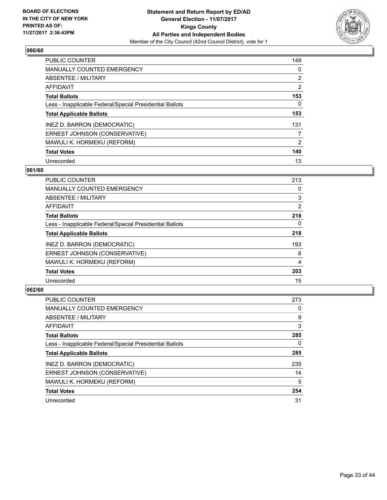

| <b>PUBLIC COUNTER</b>                                    | 149            |
|----------------------------------------------------------|----------------|
| MANUALLY COUNTED EMERGENCY                               | 0              |
| ABSENTEE / MILITARY                                      | $\overline{2}$ |
| <b>AFFIDAVIT</b>                                         | $\overline{2}$ |
| <b>Total Ballots</b>                                     | 153            |
| Less - Inapplicable Federal/Special Presidential Ballots | 0              |
| <b>Total Applicable Ballots</b>                          | 153            |
| INEZ D. BARRON (DEMOCRATIC)                              | 131            |
| ERNEST JOHNSON (CONSERVATIVE)                            | 7              |
| MAWULI K. HORMEKU (REFORM)                               | 2              |
| <b>Total Votes</b>                                       | 140            |
| Unrecorded                                               | 13             |

#### **061/60**

| <b>PUBLIC COUNTER</b>                                    | 213            |
|----------------------------------------------------------|----------------|
| <b>MANUALLY COUNTED EMERGENCY</b>                        | 0              |
| ABSENTEE / MILITARY                                      | 3              |
| <b>AFFIDAVIT</b>                                         | 2              |
| <b>Total Ballots</b>                                     | 218            |
| Less - Inapplicable Federal/Special Presidential Ballots | $\Omega$       |
| <b>Total Applicable Ballots</b>                          | 218            |
| INEZ D. BARRON (DEMOCRATIC)                              | 193            |
| ERNEST JOHNSON (CONSERVATIVE)                            | 6              |
| MAWULI K. HORMEKU (REFORM)                               | $\overline{4}$ |
| <b>Total Votes</b>                                       | 203            |
| Unrecorded                                               | 15             |

| <b>PUBLIC COUNTER</b>                                    | 273 |
|----------------------------------------------------------|-----|
| <b>MANUALLY COUNTED EMERGENCY</b>                        | 0   |
| ABSENTEE / MILITARY                                      | 9   |
| AFFIDAVIT                                                | 3   |
| <b>Total Ballots</b>                                     | 285 |
| Less - Inapplicable Federal/Special Presidential Ballots | 0   |
| <b>Total Applicable Ballots</b>                          | 285 |
| INEZ D. BARRON (DEMOCRATIC)                              | 235 |
| ERNEST JOHNSON (CONSERVATIVE)                            | 14  |
| MAWULI K. HORMEKU (REFORM)                               | 5   |
| <b>Total Votes</b>                                       | 254 |
| Unrecorded                                               | 31  |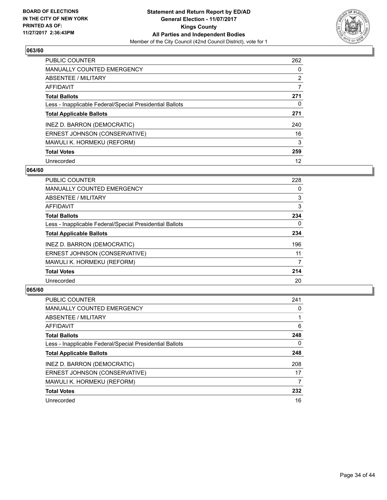

| <b>PUBLIC COUNTER</b>                                    | 262            |
|----------------------------------------------------------|----------------|
| <b>MANUALLY COUNTED EMERGENCY</b>                        | 0              |
| ABSENTEE / MILITARY                                      | $\overline{2}$ |
| <b>AFFIDAVIT</b>                                         | 7              |
| <b>Total Ballots</b>                                     | 271            |
| Less - Inapplicable Federal/Special Presidential Ballots | 0              |
| <b>Total Applicable Ballots</b>                          | 271            |
| INEZ D. BARRON (DEMOCRATIC)                              | 240            |
| ERNEST JOHNSON (CONSERVATIVE)                            | 16             |
| MAWULI K. HORMEKU (REFORM)                               | 3              |
| <b>Total Votes</b>                                       | 259            |
| Unrecorded                                               | 12             |

#### **064/60**

| <b>PUBLIC COUNTER</b>                                    | 228 |
|----------------------------------------------------------|-----|
| <b>MANUALLY COUNTED EMERGENCY</b>                        | 0   |
| ABSENTEE / MILITARY                                      | 3   |
| <b>AFFIDAVIT</b>                                         | 3   |
| <b>Total Ballots</b>                                     | 234 |
| Less - Inapplicable Federal/Special Presidential Ballots | 0   |
| <b>Total Applicable Ballots</b>                          | 234 |
| INEZ D. BARRON (DEMOCRATIC)                              | 196 |
| ERNEST JOHNSON (CONSERVATIVE)                            | 11  |
| MAWULI K. HORMEKU (REFORM)                               | 7   |
| <b>Total Votes</b>                                       | 214 |
| Unrecorded                                               | 20  |

| <b>PUBLIC COUNTER</b>                                    | 241 |
|----------------------------------------------------------|-----|
| <b>MANUALLY COUNTED EMERGENCY</b>                        | 0   |
| ABSENTEE / MILITARY                                      |     |
| AFFIDAVIT                                                | 6   |
| <b>Total Ballots</b>                                     | 248 |
| Less - Inapplicable Federal/Special Presidential Ballots | 0   |
| <b>Total Applicable Ballots</b>                          | 248 |
| INEZ D. BARRON (DEMOCRATIC)                              | 208 |
| ERNEST JOHNSON (CONSERVATIVE)                            | 17  |
| MAWULI K. HORMEKU (REFORM)                               | 7   |
| <b>Total Votes</b>                                       | 232 |
| Unrecorded                                               | 16  |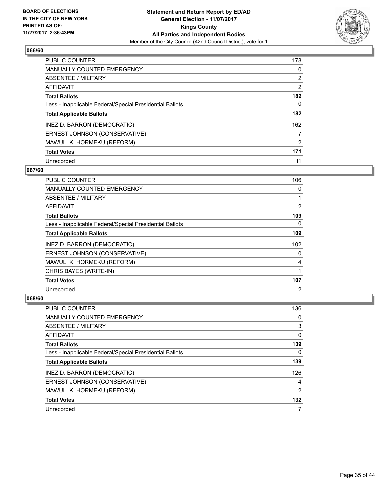

| <b>PUBLIC COUNTER</b>                                    | 178            |
|----------------------------------------------------------|----------------|
| MANUALLY COUNTED EMERGENCY                               | 0              |
| ABSENTEE / MILITARY                                      | $\overline{2}$ |
| <b>AFFIDAVIT</b>                                         | $\overline{2}$ |
| <b>Total Ballots</b>                                     | 182            |
| Less - Inapplicable Federal/Special Presidential Ballots | 0              |
| <b>Total Applicable Ballots</b>                          | 182            |
| INEZ D. BARRON (DEMOCRATIC)                              | 162            |
| ERNEST JOHNSON (CONSERVATIVE)                            | 7              |
| MAWULI K. HORMEKU (REFORM)                               | 2              |
| <b>Total Votes</b>                                       | 171            |
| Unrecorded                                               | 11             |

#### **067/60**

| <b>PUBLIC COUNTER</b>                                    | 106            |
|----------------------------------------------------------|----------------|
| <b>MANUALLY COUNTED EMERGENCY</b>                        | 0              |
| ABSENTEE / MILITARY                                      | 1              |
| AFFIDAVIT                                                | 2              |
| <b>Total Ballots</b>                                     | 109            |
| Less - Inapplicable Federal/Special Presidential Ballots | 0              |
| <b>Total Applicable Ballots</b>                          | 109            |
| INEZ D. BARRON (DEMOCRATIC)                              | 102            |
| ERNEST JOHNSON (CONSERVATIVE)                            | 0              |
| MAWULI K. HORMEKU (REFORM)                               | 4              |
| CHRIS BAYES (WRITE-IN)                                   |                |
| <b>Total Votes</b>                                       | 107            |
| Unrecorded                                               | $\overline{2}$ |

| PUBLIC COUNTER                                           | 136 |
|----------------------------------------------------------|-----|
| <b>MANUALLY COUNTED EMERGENCY</b>                        | 0   |
| ABSENTEE / MILITARY                                      | 3   |
| AFFIDAVIT                                                | 0   |
| <b>Total Ballots</b>                                     | 139 |
| Less - Inapplicable Federal/Special Presidential Ballots | 0   |
| <b>Total Applicable Ballots</b>                          | 139 |
| INEZ D. BARRON (DEMOCRATIC)                              | 126 |
| ERNEST JOHNSON (CONSERVATIVE)                            | 4   |
| MAWULI K. HORMEKU (REFORM)                               | 2   |
| <b>Total Votes</b>                                       | 132 |
| Unrecorded                                               | 7   |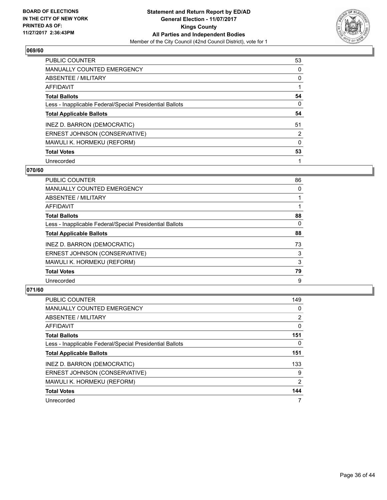

| <b>PUBLIC COUNTER</b>                                    | 53 |
|----------------------------------------------------------|----|
| <b>MANUALLY COUNTED EMERGENCY</b>                        | 0  |
| ABSENTEE / MILITARY                                      | 0  |
| <b>AFFIDAVIT</b>                                         |    |
| <b>Total Ballots</b>                                     | 54 |
| Less - Inapplicable Federal/Special Presidential Ballots | 0  |
| <b>Total Applicable Ballots</b>                          | 54 |
| INEZ D. BARRON (DEMOCRATIC)                              | 51 |
| ERNEST JOHNSON (CONSERVATIVE)                            | 2  |
| MAWULI K. HORMEKU (REFORM)                               | 0  |
| <b>Total Votes</b>                                       | 53 |
| Unrecorded                                               |    |

#### **070/60**

| <b>PUBLIC COUNTER</b>                                    | 86       |
|----------------------------------------------------------|----------|
| <b>MANUALLY COUNTED EMERGENCY</b>                        | 0        |
| ABSENTEE / MILITARY                                      |          |
| <b>AFFIDAVIT</b>                                         |          |
| <b>Total Ballots</b>                                     | 88       |
| Less - Inapplicable Federal/Special Presidential Ballots | $\Omega$ |
| <b>Total Applicable Ballots</b>                          | 88       |
| INEZ D. BARRON (DEMOCRATIC)                              | 73       |
| ERNEST JOHNSON (CONSERVATIVE)                            | 3        |
| MAWULI K. HORMEKU (REFORM)                               | 3        |
| <b>Total Votes</b>                                       | 79       |
| Unrecorded                                               | 9        |

| <b>PUBLIC COUNTER</b>                                    | 149            |
|----------------------------------------------------------|----------------|
| <b>MANUALLY COUNTED EMERGENCY</b>                        | 0              |
| ABSENTEE / MILITARY                                      | $\overline{2}$ |
| <b>AFFIDAVIT</b>                                         | 0              |
| <b>Total Ballots</b>                                     | 151            |
| Less - Inapplicable Federal/Special Presidential Ballots | 0              |
| <b>Total Applicable Ballots</b>                          | 151            |
| INEZ D. BARRON (DEMOCRATIC)                              | 133            |
| ERNEST JOHNSON (CONSERVATIVE)                            | 9              |
| MAWULI K. HORMEKU (REFORM)                               | 2              |
| <b>Total Votes</b>                                       | 144            |
| Unrecorded                                               |                |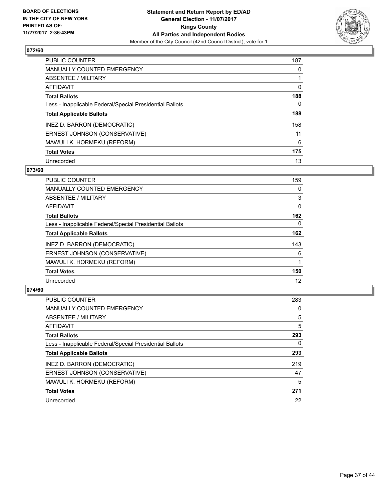

| <b>PUBLIC COUNTER</b>                                    | 187 |
|----------------------------------------------------------|-----|
| <b>MANUALLY COUNTED EMERGENCY</b>                        | 0   |
| ABSENTEE / MILITARY                                      |     |
| <b>AFFIDAVIT</b>                                         | 0   |
| <b>Total Ballots</b>                                     | 188 |
| Less - Inapplicable Federal/Special Presidential Ballots | 0   |
| <b>Total Applicable Ballots</b>                          | 188 |
| INEZ D. BARRON (DEMOCRATIC)                              | 158 |
| ERNEST JOHNSON (CONSERVATIVE)                            | 11  |
| MAWULI K. HORMEKU (REFORM)                               | 6   |
| <b>Total Votes</b>                                       | 175 |
| Unrecorded                                               | 13  |

#### **073/60**

| <b>PUBLIC COUNTER</b>                                    | 159      |
|----------------------------------------------------------|----------|
| <b>MANUALLY COUNTED EMERGENCY</b>                        | 0        |
| ABSENTEE / MILITARY                                      | 3        |
| <b>AFFIDAVIT</b>                                         | $\Omega$ |
| <b>Total Ballots</b>                                     | 162      |
| Less - Inapplicable Federal/Special Presidential Ballots | $\Omega$ |
| <b>Total Applicable Ballots</b>                          | 162      |
| INEZ D. BARRON (DEMOCRATIC)                              | 143      |
| ERNEST JOHNSON (CONSERVATIVE)                            | 6        |
| MAWULI K. HORMEKU (REFORM)                               |          |
| <b>Total Votes</b>                                       | 150      |
| Unrecorded                                               | 12       |

| <b>PUBLIC COUNTER</b>                                    | 283 |
|----------------------------------------------------------|-----|
| <b>MANUALLY COUNTED EMERGENCY</b>                        | 0   |
| ABSENTEE / MILITARY                                      | 5   |
| <b>AFFIDAVIT</b>                                         | 5   |
| <b>Total Ballots</b>                                     | 293 |
| Less - Inapplicable Federal/Special Presidential Ballots | 0   |
| <b>Total Applicable Ballots</b>                          | 293 |
| INEZ D. BARRON (DEMOCRATIC)                              | 219 |
| ERNEST JOHNSON (CONSERVATIVE)                            | 47  |
| MAWULI K. HORMEKU (REFORM)                               | 5   |
| <b>Total Votes</b>                                       | 271 |
| Unrecorded                                               | 22  |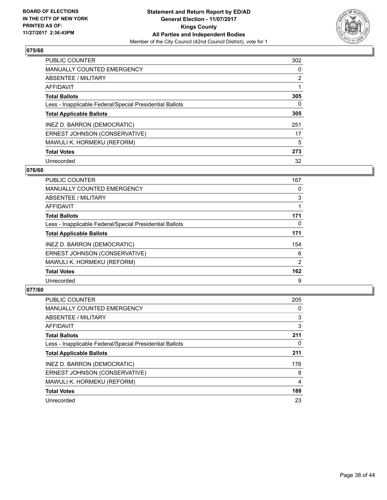

| <b>PUBLIC COUNTER</b>                                    | 302            |
|----------------------------------------------------------|----------------|
| MANUALLY COUNTED EMERGENCY                               | 0              |
| ABSENTEE / MILITARY                                      | $\overline{2}$ |
| <b>AFFIDAVIT</b>                                         |                |
| <b>Total Ballots</b>                                     | 305            |
| Less - Inapplicable Federal/Special Presidential Ballots | 0              |
| <b>Total Applicable Ballots</b>                          | 305            |
| INEZ D. BARRON (DEMOCRATIC)                              | 251            |
| ERNEST JOHNSON (CONSERVATIVE)                            | 17             |
| MAWULI K. HORMEKU (REFORM)                               | 5              |
| <b>Total Votes</b>                                       | 273            |
| Unrecorded                                               | 32             |

#### **076/60**

| <b>PUBLIC COUNTER</b>                                    | 167      |
|----------------------------------------------------------|----------|
| <b>MANUALLY COUNTED EMERGENCY</b>                        | 0        |
| ABSENTEE / MILITARY                                      | 3        |
| <b>AFFIDAVIT</b>                                         |          |
| <b>Total Ballots</b>                                     | 171      |
| Less - Inapplicable Federal/Special Presidential Ballots | $\Omega$ |
| <b>Total Applicable Ballots</b>                          | 171      |
| INEZ D. BARRON (DEMOCRATIC)                              | 154      |
| ERNEST JOHNSON (CONSERVATIVE)                            | 6        |
| MAWULI K. HORMEKU (REFORM)                               | 2        |
| <b>Total Votes</b>                                       | 162      |
| Unrecorded                                               | 9        |

| <b>PUBLIC COUNTER</b>                                    | 205 |
|----------------------------------------------------------|-----|
| <b>MANUALLY COUNTED EMERGENCY</b>                        | 0   |
| ABSENTEE / MILITARY                                      | 3   |
| AFFIDAVIT                                                | 3   |
| <b>Total Ballots</b>                                     | 211 |
| Less - Inapplicable Federal/Special Presidential Ballots | 0   |
| <b>Total Applicable Ballots</b>                          | 211 |
| INEZ D. BARRON (DEMOCRATIC)                              | 176 |
| ERNEST JOHNSON (CONSERVATIVE)                            | 8   |
| MAWULI K. HORMEKU (REFORM)                               | 4   |
| <b>Total Votes</b>                                       | 188 |
| Unrecorded                                               | 23  |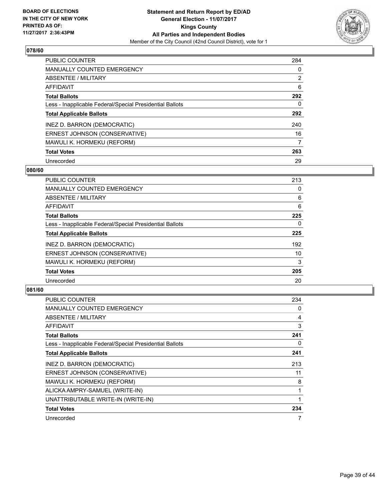

| <b>PUBLIC COUNTER</b>                                    | 284            |
|----------------------------------------------------------|----------------|
| MANUALLY COUNTED EMERGENCY                               | 0              |
| ABSENTEE / MILITARY                                      | $\overline{2}$ |
| <b>AFFIDAVIT</b>                                         | 6              |
| <b>Total Ballots</b>                                     | 292            |
| Less - Inapplicable Federal/Special Presidential Ballots | 0              |
| <b>Total Applicable Ballots</b>                          | 292            |
| INEZ D. BARRON (DEMOCRATIC)                              | 240            |
| ERNEST JOHNSON (CONSERVATIVE)                            | 16             |
| MAWULI K. HORMEKU (REFORM)                               | 7              |
| <b>Total Votes</b>                                       | 263            |
| Unrecorded                                               | 29             |

#### **080/60**

| <b>PUBLIC COUNTER</b>                                    | 213 |
|----------------------------------------------------------|-----|
| <b>MANUALLY COUNTED EMERGENCY</b>                        | 0   |
| ABSENTEE / MILITARY                                      | 6   |
| <b>AFFIDAVIT</b>                                         | 6   |
| <b>Total Ballots</b>                                     | 225 |
| Less - Inapplicable Federal/Special Presidential Ballots | 0   |
| <b>Total Applicable Ballots</b>                          | 225 |
| INEZ D. BARRON (DEMOCRATIC)                              | 192 |
| ERNEST JOHNSON (CONSERVATIVE)                            | 10  |
| MAWULI K. HORMEKU (REFORM)                               | 3   |
| <b>Total Votes</b>                                       | 205 |
| Unrecorded                                               | 20  |

| PUBLIC COUNTER                                           | 234 |
|----------------------------------------------------------|-----|
| <b>MANUALLY COUNTED EMERGENCY</b>                        | 0   |
| <b>ABSENTEE / MILITARY</b>                               | 4   |
| AFFIDAVIT                                                | 3   |
| <b>Total Ballots</b>                                     | 241 |
| Less - Inapplicable Federal/Special Presidential Ballots | 0   |
| <b>Total Applicable Ballots</b>                          | 241 |
| INEZ D. BARRON (DEMOCRATIC)                              | 213 |
| ERNEST JOHNSON (CONSERVATIVE)                            | 11  |
| MAWULI K. HORMEKU (REFORM)                               | 8   |
| ALICKA AMPRY-SAMUEL (WRITE-IN)                           |     |
| UNATTRIBUTABLE WRITE-IN (WRITE-IN)                       | 1   |
| <b>Total Votes</b>                                       | 234 |
| Unrecorded                                               | 7   |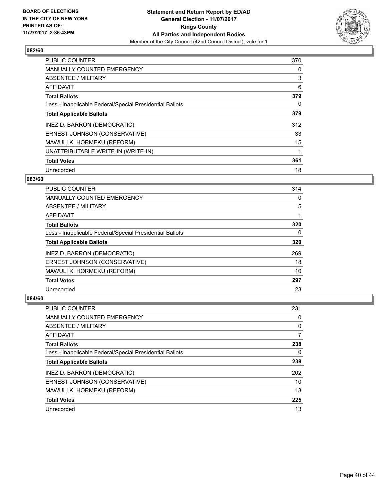

| <b>PUBLIC COUNTER</b>                                    | 370 |
|----------------------------------------------------------|-----|
| <b>MANUALLY COUNTED EMERGENCY</b>                        | 0   |
| ABSENTEE / MILITARY                                      | 3   |
| <b>AFFIDAVIT</b>                                         | 6   |
| <b>Total Ballots</b>                                     | 379 |
| Less - Inapplicable Federal/Special Presidential Ballots | 0   |
| <b>Total Applicable Ballots</b>                          | 379 |
| INEZ D. BARRON (DEMOCRATIC)                              | 312 |
| ERNEST JOHNSON (CONSERVATIVE)                            | 33  |
| MAWULI K. HORMEKU (REFORM)                               | 15  |
| UNATTRIBUTABLE WRITE-IN (WRITE-IN)                       |     |
| <b>Total Votes</b>                                       | 361 |
| Unrecorded                                               | 18  |

## **083/60**

| PUBLIC COUNTER                                           | 314 |
|----------------------------------------------------------|-----|
| <b>MANUALLY COUNTED EMERGENCY</b>                        | 0   |
| ABSENTEE / MILITARY                                      | 5   |
| AFFIDAVIT                                                |     |
| <b>Total Ballots</b>                                     | 320 |
| Less - Inapplicable Federal/Special Presidential Ballots | 0   |
| <b>Total Applicable Ballots</b>                          | 320 |
| INEZ D. BARRON (DEMOCRATIC)                              | 269 |
| ERNEST JOHNSON (CONSERVATIVE)                            | 18  |
| MAWULI K. HORMEKU (REFORM)                               | 10  |
| <b>Total Votes</b>                                       | 297 |
| Unrecorded                                               | 23  |

| PUBLIC COUNTER                                           | 231 |
|----------------------------------------------------------|-----|
| <b>MANUALLY COUNTED EMERGENCY</b>                        | 0   |
| ABSENTEE / MILITARY                                      | 0   |
| AFFIDAVIT                                                | 7   |
| <b>Total Ballots</b>                                     | 238 |
| Less - Inapplicable Federal/Special Presidential Ballots | 0   |
| <b>Total Applicable Ballots</b>                          | 238 |
| INEZ D. BARRON (DEMOCRATIC)                              | 202 |
| ERNEST JOHNSON (CONSERVATIVE)                            | 10  |
| MAWULI K. HORMEKU (REFORM)                               | 13  |
| <b>Total Votes</b>                                       | 225 |
| Unrecorded                                               | 13  |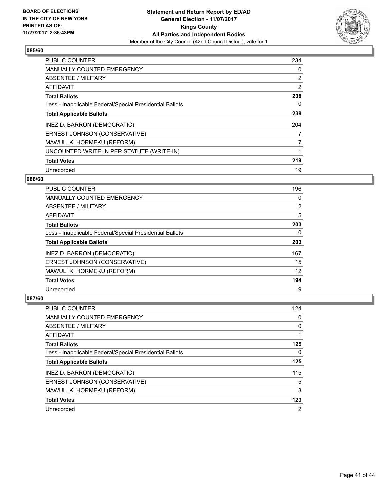

| <b>PUBLIC COUNTER</b>                                    | 234 |
|----------------------------------------------------------|-----|
| <b>MANUALLY COUNTED EMERGENCY</b>                        | 0   |
| ABSENTEE / MILITARY                                      | 2   |
| AFFIDAVIT                                                | 2   |
| <b>Total Ballots</b>                                     | 238 |
| Less - Inapplicable Federal/Special Presidential Ballots | 0   |
| <b>Total Applicable Ballots</b>                          | 238 |
| INEZ D. BARRON (DEMOCRATIC)                              | 204 |
| ERNEST JOHNSON (CONSERVATIVE)                            | 7   |
| MAWULI K. HORMEKU (REFORM)                               | 7   |
| UNCOUNTED WRITE-IN PER STATUTE (WRITE-IN)                | 1   |
| <b>Total Votes</b>                                       | 219 |
| Unrecorded                                               | 19  |

## **086/60**

| PUBLIC COUNTER                                           | 196 |
|----------------------------------------------------------|-----|
| <b>MANUALLY COUNTED EMERGENCY</b>                        | 0   |
| ABSENTEE / MILITARY                                      | 2   |
| AFFIDAVIT                                                | 5   |
| <b>Total Ballots</b>                                     | 203 |
| Less - Inapplicable Federal/Special Presidential Ballots | 0   |
| <b>Total Applicable Ballots</b>                          | 203 |
| INEZ D. BARRON (DEMOCRATIC)                              | 167 |
| ERNEST JOHNSON (CONSERVATIVE)                            | 15  |
| MAWULI K. HORMEKU (REFORM)                               | 12  |
| <b>Total Votes</b>                                       | 194 |
| Unrecorded                                               | 9   |

| <b>PUBLIC COUNTER</b>                                    | 124 |
|----------------------------------------------------------|-----|
| <b>MANUALLY COUNTED EMERGENCY</b>                        | 0   |
| ABSENTEE / MILITARY                                      | 0   |
| AFFIDAVIT                                                |     |
| <b>Total Ballots</b>                                     | 125 |
| Less - Inapplicable Federal/Special Presidential Ballots | 0   |
| <b>Total Applicable Ballots</b>                          | 125 |
| INEZ D. BARRON (DEMOCRATIC)                              | 115 |
| ERNEST JOHNSON (CONSERVATIVE)                            | 5   |
| MAWULI K. HORMEKU (REFORM)                               | 3   |
| <b>Total Votes</b>                                       | 123 |
| Unrecorded                                               | 2   |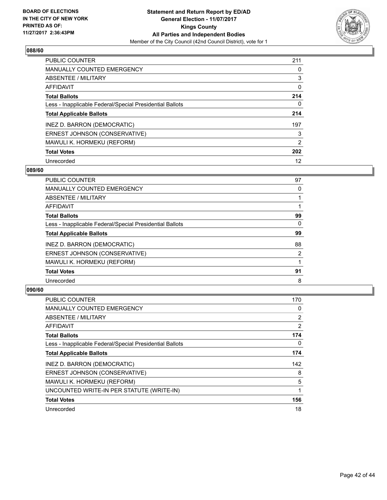

| <b>PUBLIC COUNTER</b>                                    | 211            |
|----------------------------------------------------------|----------------|
| <b>MANUALLY COUNTED EMERGENCY</b>                        | 0              |
| ABSENTEE / MILITARY                                      | 3              |
| <b>AFFIDAVIT</b>                                         | 0              |
| <b>Total Ballots</b>                                     | 214            |
| Less - Inapplicable Federal/Special Presidential Ballots | 0              |
| <b>Total Applicable Ballots</b>                          | 214            |
| INEZ D. BARRON (DEMOCRATIC)                              | 197            |
| ERNEST JOHNSON (CONSERVATIVE)                            | 3              |
| MAWULI K. HORMEKU (REFORM)                               | $\overline{2}$ |
| <b>Total Votes</b>                                       | 202            |
| Unrecorded                                               | 12             |

#### **089/60**

| <b>PUBLIC COUNTER</b>                                    | 97 |
|----------------------------------------------------------|----|
| <b>MANUALLY COUNTED EMERGENCY</b>                        | 0  |
| ABSENTEE / MILITARY                                      |    |
| <b>AFFIDAVIT</b>                                         |    |
| <b>Total Ballots</b>                                     | 99 |
| Less - Inapplicable Federal/Special Presidential Ballots | 0  |
| <b>Total Applicable Ballots</b>                          | 99 |
| INEZ D. BARRON (DEMOCRATIC)                              | 88 |
| ERNEST JOHNSON (CONSERVATIVE)                            | 2  |
| MAWULI K. HORMEKU (REFORM)                               |    |
| <b>Total Votes</b>                                       | 91 |
| Unrecorded                                               | 8  |

| <b>PUBLIC COUNTER</b>                                    | 170 |
|----------------------------------------------------------|-----|
| <b>MANUALLY COUNTED EMERGENCY</b>                        | 0   |
| ABSENTEE / MILITARY                                      | 2   |
| AFFIDAVIT                                                | 2   |
| <b>Total Ballots</b>                                     | 174 |
| Less - Inapplicable Federal/Special Presidential Ballots | 0   |
| <b>Total Applicable Ballots</b>                          | 174 |
| INEZ D. BARRON (DEMOCRATIC)                              | 142 |
| ERNEST JOHNSON (CONSERVATIVE)                            | 8   |
| MAWULI K. HORMEKU (REFORM)                               | 5   |
| UNCOUNTED WRITE-IN PER STATUTE (WRITE-IN)                |     |
| <b>Total Votes</b>                                       | 156 |
| Unrecorded                                               | 18  |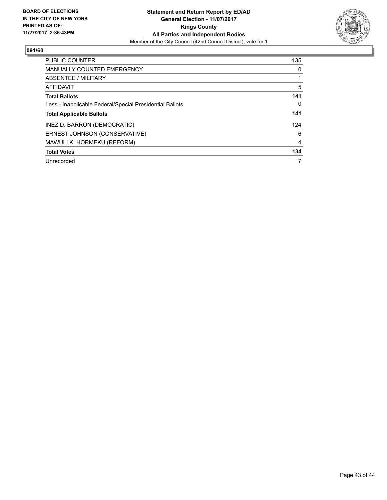

| <b>PUBLIC COUNTER</b>                                    | 135 |
|----------------------------------------------------------|-----|
| MANUALLY COUNTED EMERGENCY                               | 0   |
| ABSENTEE / MILITARY                                      |     |
| AFFIDAVIT                                                | 5   |
| <b>Total Ballots</b>                                     | 141 |
| Less - Inapplicable Federal/Special Presidential Ballots | 0   |
| <b>Total Applicable Ballots</b>                          | 141 |
| INEZ D. BARRON (DEMOCRATIC)                              | 124 |
| ERNEST JOHNSON (CONSERVATIVE)                            | 6   |
| MAWULI K. HORMEKU (REFORM)                               | 4   |
| <b>Total Votes</b>                                       | 134 |
| Unrecorded                                               | 7   |